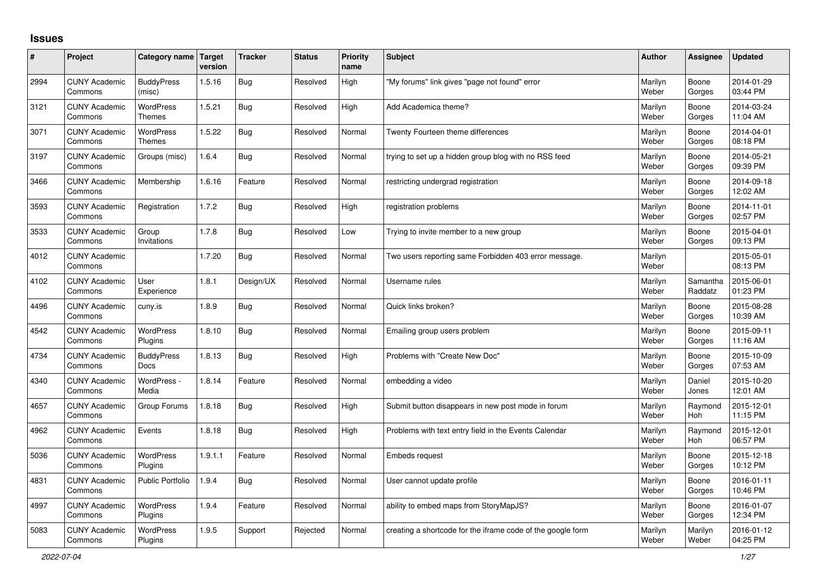## **Issues**

| #    | Project                         | Category name Target              | version | <b>Tracker</b> | <b>Status</b> | <b>Priority</b><br>name | <b>Subject</b>                                              | <b>Author</b>    | Assignee              | <b>Updated</b>         |
|------|---------------------------------|-----------------------------------|---------|----------------|---------------|-------------------------|-------------------------------------------------------------|------------------|-----------------------|------------------------|
| 2994 | <b>CUNY Academic</b><br>Commons | <b>BuddyPress</b><br>(misc)       | 1.5.16  | <b>Bug</b>     | Resolved      | High                    | "My forums" link gives "page not found" error               | Marilyn<br>Weber | Boone<br>Gorges       | 2014-01-29<br>03:44 PM |
| 3121 | <b>CUNY Academic</b><br>Commons | WordPress<br><b>Themes</b>        | 1.5.21  | <b>Bug</b>     | Resolved      | High                    | Add Academica theme?                                        | Marilyn<br>Weber | Boone<br>Gorges       | 2014-03-24<br>11:04 AM |
| 3071 | <b>CUNY Academic</b><br>Commons | <b>WordPress</b><br><b>Themes</b> | 1.5.22  | Bug            | Resolved      | Normal                  | Twenty Fourteen theme differences                           | Marilyn<br>Weber | Boone<br>Gorges       | 2014-04-01<br>08:18 PM |
| 3197 | <b>CUNY Academic</b><br>Commons | Groups (misc)                     | 1.6.4   | Bug            | Resolved      | Normal                  | trying to set up a hidden group blog with no RSS feed       | Marilyn<br>Weber | Boone<br>Gorges       | 2014-05-21<br>09:39 PM |
| 3466 | <b>CUNY Academic</b><br>Commons | Membership                        | 1.6.16  | Feature        | Resolved      | Normal                  | restricting undergrad registration                          | Marilyn<br>Weber | Boone<br>Gorges       | 2014-09-18<br>12:02 AM |
| 3593 | <b>CUNY Academic</b><br>Commons | Registration                      | 1.7.2   | Bug            | Resolved      | High                    | registration problems                                       | Marilyn<br>Weber | Boone<br>Gorges       | 2014-11-01<br>02:57 PM |
| 3533 | <b>CUNY Academic</b><br>Commons | Group<br>Invitations              | 1.7.8   | <b>Bug</b>     | Resolved      | Low                     | Trying to invite member to a new group                      | Marilyn<br>Weber | Boone<br>Gorges       | 2015-04-01<br>09:13 PM |
| 4012 | <b>CUNY Academic</b><br>Commons |                                   | 1.7.20  | <b>Bug</b>     | Resolved      | Normal                  | Two users reporting same Forbidden 403 error message.       | Marilyn<br>Weber |                       | 2015-05-01<br>08:13 PM |
| 4102 | <b>CUNY Academic</b><br>Commons | User<br>Experience                | 1.8.1   | Design/UX      | Resolved      | Normal                  | Username rules                                              | Marilyn<br>Weber | Samantha<br>Raddatz   | 2015-06-01<br>01:23 PM |
| 4496 | <b>CUNY Academic</b><br>Commons | cuny.is                           | 1.8.9   | Bug            | Resolved      | Normal                  | Quick links broken?                                         | Marilyn<br>Weber | Boone<br>Gorges       | 2015-08-28<br>10:39 AM |
| 4542 | <b>CUNY Academic</b><br>Commons | <b>WordPress</b><br>Plugins       | 1.8.10  | Bug            | Resolved      | Normal                  | Emailing group users problem                                | Marilyn<br>Weber | Boone<br>Gorges       | 2015-09-11<br>11:16 AM |
| 4734 | <b>CUNY Academic</b><br>Commons | <b>BuddyPress</b><br><b>Docs</b>  | 1.8.13  | Bug            | Resolved      | High                    | Problems with "Create New Doc"                              | Marilyn<br>Weber | Boone<br>Gorges       | 2015-10-09<br>07:53 AM |
| 4340 | <b>CUNY Academic</b><br>Commons | WordPress -<br>Media              | 1.8.14  | Feature        | Resolved      | Normal                  | embedding a video                                           | Marilyn<br>Weber | Daniel<br>Jones       | 2015-10-20<br>12:01 AM |
| 4657 | <b>CUNY Academic</b><br>Commons | Group Forums                      | 1.8.18  | Bug            | Resolved      | High                    | Submit button disappears in new post mode in forum          | Marilyn<br>Weber | Raymond<br>Hoh        | 2015-12-01<br>11:15 PM |
| 4962 | <b>CUNY Academic</b><br>Commons | Events                            | 1.8.18  | Bug            | Resolved      | High                    | Problems with text entry field in the Events Calendar       | Marilyn<br>Weber | Raymond<br><b>Hoh</b> | 2015-12-01<br>06:57 PM |
| 5036 | <b>CUNY Academic</b><br>Commons | <b>WordPress</b><br>Plugins       | 1.9.1.1 | Feature        | Resolved      | Normal                  | <b>Embeds request</b>                                       | Marilyn<br>Weber | Boone<br>Gorges       | 2015-12-18<br>10:12 PM |
| 4831 | <b>CUNY Academic</b><br>Commons | Public Portfolio                  | 1.9.4   | Bug            | Resolved      | Normal                  | User cannot update profile                                  | Marilyn<br>Weber | Boone<br>Gorges       | 2016-01-11<br>10:46 PM |
| 4997 | <b>CUNY Academic</b><br>Commons | WordPress<br>Plugins              | 1.9.4   | Feature        | Resolved      | Normal                  | ability to embed maps from StoryMapJS?                      | Marilyn<br>Weber | Boone<br>Gorges       | 2016-01-07<br>12:34 PM |
| 5083 | <b>CUNY Academic</b><br>Commons | <b>WordPress</b><br>Plugins       | 1.9.5   | Support        | Rejected      | Normal                  | creating a shortcode for the iframe code of the google form | Marilyn<br>Weber | Marilyn<br>Weber      | 2016-01-12<br>04:25 PM |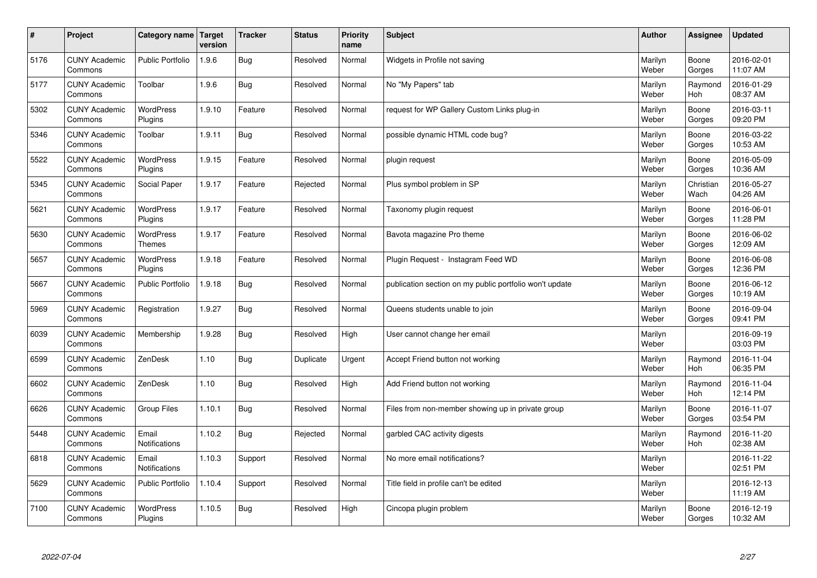| $\sharp$ | Project                         | Category name   Target            | version | <b>Tracker</b> | <b>Status</b> | <b>Priority</b><br>name | <b>Subject</b>                                          | <b>Author</b>    | Assignee              | <b>Updated</b>         |
|----------|---------------------------------|-----------------------------------|---------|----------------|---------------|-------------------------|---------------------------------------------------------|------------------|-----------------------|------------------------|
| 5176     | <b>CUNY Academic</b><br>Commons | <b>Public Portfolio</b>           | 1.9.6   | Bug            | Resolved      | Normal                  | Widgets in Profile not saving                           | Marilyn<br>Weber | Boone<br>Gorges       | 2016-02-01<br>11:07 AM |
| 5177     | <b>CUNY Academic</b><br>Commons | Toolbar                           | 1.9.6   | Bug            | Resolved      | Normal                  | No "My Papers" tab                                      | Marilyn<br>Weber | Raymond<br><b>Hoh</b> | 2016-01-29<br>08:37 AM |
| 5302     | <b>CUNY Academic</b><br>Commons | <b>WordPress</b><br>Plugins       | 1.9.10  | Feature        | Resolved      | Normal                  | request for WP Gallery Custom Links plug-in             | Marilyn<br>Weber | Boone<br>Gorges       | 2016-03-11<br>09:20 PM |
| 5346     | <b>CUNY Academic</b><br>Commons | Toolbar                           | 1.9.11  | Bug            | Resolved      | Normal                  | possible dynamic HTML code bug?                         | Marilyn<br>Weber | Boone<br>Gorges       | 2016-03-22<br>10:53 AM |
| 5522     | <b>CUNY Academic</b><br>Commons | <b>WordPress</b><br>Plugins       | 1.9.15  | Feature        | Resolved      | Normal                  | plugin request                                          | Marilyn<br>Weber | Boone<br>Gorges       | 2016-05-09<br>10:36 AM |
| 5345     | <b>CUNY Academic</b><br>Commons | Social Paper                      | 1.9.17  | Feature        | Rejected      | Normal                  | Plus symbol problem in SP                               | Marilyn<br>Weber | Christian<br>Wach     | 2016-05-27<br>04:26 AM |
| 5621     | <b>CUNY Academic</b><br>Commons | WordPress<br>Plugins              | 1.9.17  | Feature        | Resolved      | Normal                  | Taxonomy plugin request                                 | Marilyn<br>Weber | Boone<br>Gorges       | 2016-06-01<br>11:28 PM |
| 5630     | <b>CUNY Academic</b><br>Commons | <b>WordPress</b><br><b>Themes</b> | 1.9.17  | Feature        | Resolved      | Normal                  | Bavota magazine Pro theme                               | Marilyn<br>Weber | Boone<br>Gorges       | 2016-06-02<br>12:09 AM |
| 5657     | <b>CUNY Academic</b><br>Commons | <b>WordPress</b><br>Plugins       | 1.9.18  | Feature        | Resolved      | Normal                  | Plugin Request - Instagram Feed WD                      | Marilyn<br>Weber | Boone<br>Gorges       | 2016-06-08<br>12:36 PM |
| 5667     | <b>CUNY Academic</b><br>Commons | Public Portfolio                  | 1.9.18  | Bug            | Resolved      | Normal                  | publication section on my public portfolio won't update | Marilyn<br>Weber | Boone<br>Gorges       | 2016-06-12<br>10:19 AM |
| 5969     | <b>CUNY Academic</b><br>Commons | Registration                      | 1.9.27  | Bug            | Resolved      | Normal                  | Queens students unable to join                          | Marilyn<br>Weber | Boone<br>Gorges       | 2016-09-04<br>09:41 PM |
| 6039     | <b>CUNY Academic</b><br>Commons | Membership                        | 1.9.28  | Bug            | Resolved      | High                    | User cannot change her email                            | Marilyn<br>Weber |                       | 2016-09-19<br>03:03 PM |
| 6599     | <b>CUNY Academic</b><br>Commons | ZenDesk                           | 1.10    | Bug            | Duplicate     | Urgent                  | Accept Friend button not working                        | Marilyn<br>Weber | Raymond<br>Hoh        | 2016-11-04<br>06:35 PM |
| 6602     | <b>CUNY Academic</b><br>Commons | ZenDesk                           | 1.10    | Bug            | Resolved      | High                    | Add Friend button not working                           | Marilyn<br>Weber | Raymond<br><b>Hoh</b> | 2016-11-04<br>12:14 PM |
| 6626     | <b>CUNY Academic</b><br>Commons | Group Files                       | 1.10.1  | Bug            | Resolved      | Normal                  | Files from non-member showing up in private group       | Marilyn<br>Weber | Boone<br>Gorges       | 2016-11-07<br>03:54 PM |
| 5448     | <b>CUNY Academic</b><br>Commons | Email<br>Notifications            | 1.10.2  | Bug            | Rejected      | Normal                  | garbled CAC activity digests                            | Marilyn<br>Weber | Raymond<br><b>Hoh</b> | 2016-11-20<br>02:38 AM |
| 6818     | <b>CUNY Academic</b><br>Commons | Email<br><b>Notifications</b>     | 1.10.3  | Support        | Resolved      | Normal                  | No more email notifications?                            | Marilyn<br>Weber |                       | 2016-11-22<br>02:51 PM |
| 5629     | <b>CUNY Academic</b><br>Commons | Public Portfolio                  | 1.10.4  | Support        | Resolved      | Normal                  | Title field in profile can't be edited                  | Marilyn<br>Weber |                       | 2016-12-13<br>11:19 AM |
| 7100     | <b>CUNY Academic</b><br>Commons | <b>WordPress</b><br>Plugins       | 1.10.5  | Bug            | Resolved      | High                    | Cincopa plugin problem                                  | Marilyn<br>Weber | Boone<br>Gorges       | 2016-12-19<br>10:32 AM |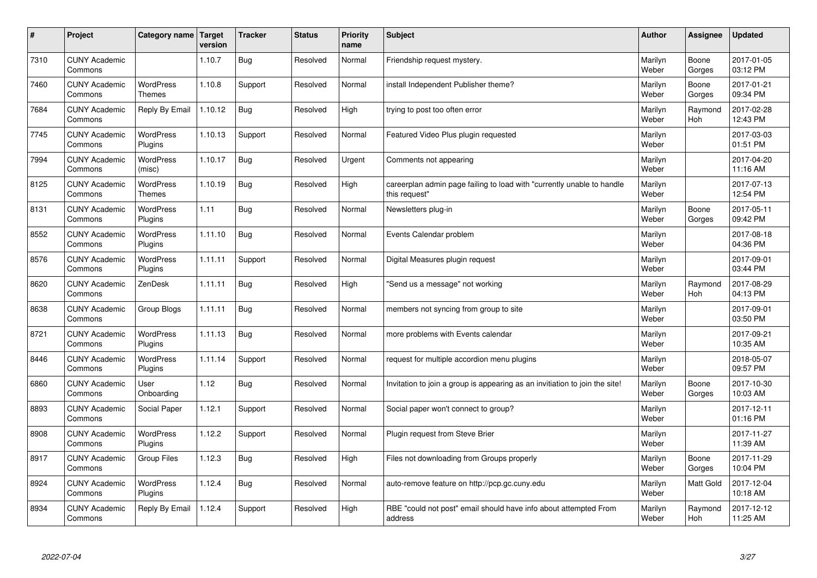| $\vert$ # | Project                         | Category name                     | <b>Target</b><br>version | <b>Tracker</b> | <b>Status</b> | <b>Priority</b><br>name | <b>Subject</b>                                                                          | <b>Author</b>    | <b>Assignee</b>       | <b>Updated</b>         |
|-----------|---------------------------------|-----------------------------------|--------------------------|----------------|---------------|-------------------------|-----------------------------------------------------------------------------------------|------------------|-----------------------|------------------------|
| 7310      | <b>CUNY Academic</b><br>Commons |                                   | 1.10.7                   | Bug            | Resolved      | Normal                  | Friendship request mystery.                                                             | Marilyn<br>Weber | Boone<br>Gorges       | 2017-01-05<br>03:12 PM |
| 7460      | <b>CUNY Academic</b><br>Commons | <b>WordPress</b><br><b>Themes</b> | 1.10.8                   | Support        | Resolved      | Normal                  | install Independent Publisher theme?                                                    | Marilyn<br>Weber | Boone<br>Gorges       | 2017-01-21<br>09:34 PM |
| 7684      | <b>CUNY Academic</b><br>Commons | Reply By Email                    | 1.10.12                  | <b>Bug</b>     | Resolved      | High                    | trying to post too often error                                                          | Marilyn<br>Weber | Raymond<br><b>Hoh</b> | 2017-02-28<br>12:43 PM |
| 7745      | <b>CUNY Academic</b><br>Commons | <b>WordPress</b><br>Plugins       | 1.10.13                  | Support        | Resolved      | Normal                  | Featured Video Plus plugin requested                                                    | Marilyn<br>Weber |                       | 2017-03-03<br>01:51 PM |
| 7994      | <b>CUNY Academic</b><br>Commons | <b>WordPress</b><br>(misc)        | 1.10.17                  | Bug            | Resolved      | Urgent                  | Comments not appearing                                                                  | Marilyn<br>Weber |                       | 2017-04-20<br>11:16 AM |
| 8125      | <b>CUNY Academic</b><br>Commons | <b>WordPress</b><br><b>Themes</b> | 1.10.19                  | Bug            | Resolved      | High                    | careerplan admin page failing to load with "currently unable to handle<br>this request" | Marilyn<br>Weber |                       | 2017-07-13<br>12:54 PM |
| 8131      | <b>CUNY Academic</b><br>Commons | WordPress<br>Plugins              | 1.11                     | Bug            | Resolved      | Normal                  | Newsletters plug-in                                                                     | Marilyn<br>Weber | Boone<br>Gorges       | 2017-05-11<br>09:42 PM |
| 8552      | <b>CUNY Academic</b><br>Commons | WordPress<br>Plugins              | 1.11.10                  | Bug            | Resolved      | Normal                  | Events Calendar problem                                                                 | Marilyn<br>Weber |                       | 2017-08-18<br>04:36 PM |
| 8576      | <b>CUNY Academic</b><br>Commons | WordPress<br>Plugins              | 1.11.11                  | Support        | Resolved      | Normal                  | Digital Measures plugin request                                                         | Marilyn<br>Weber |                       | 2017-09-01<br>03:44 PM |
| 8620      | <b>CUNY Academic</b><br>Commons | ZenDesk                           | 1.11.11                  | Bug            | Resolved      | High                    | 'Send us a message" not working                                                         | Marilyn<br>Weber | Raymond<br>Hoh        | 2017-08-29<br>04:13 PM |
| 8638      | <b>CUNY Academic</b><br>Commons | Group Blogs                       | 1.11.11                  | Bug            | Resolved      | Normal                  | members not syncing from group to site                                                  | Marilyn<br>Weber |                       | 2017-09-01<br>03:50 PM |
| 8721      | <b>CUNY Academic</b><br>Commons | WordPress<br>Plugins              | 1.11.13                  | <b>Bug</b>     | Resolved      | Normal                  | more problems with Events calendar                                                      | Marilyn<br>Weber |                       | 2017-09-21<br>10:35 AM |
| 8446      | <b>CUNY Academic</b><br>Commons | <b>WordPress</b><br>Plugins       | 1.11.14                  | Support        | Resolved      | Normal                  | request for multiple accordion menu plugins                                             | Marilyn<br>Weber |                       | 2018-05-07<br>09:57 PM |
| 6860      | <b>CUNY Academic</b><br>Commons | User<br>Onboarding                | 1.12                     | Bug            | Resolved      | Normal                  | Invitation to join a group is appearing as an invitiation to join the site!             | Marilyn<br>Weber | Boone<br>Gorges       | 2017-10-30<br>10:03 AM |
| 8893      | <b>CUNY Academic</b><br>Commons | Social Paper                      | 1.12.1                   | Support        | Resolved      | Normal                  | Social paper won't connect to group?                                                    | Marilyn<br>Weber |                       | 2017-12-11<br>01:16 PM |
| 8908      | <b>CUNY Academic</b><br>Commons | WordPress<br>Plugins              | 1.12.2                   | Support        | Resolved      | Normal                  | Plugin request from Steve Brier                                                         | Marilyn<br>Weber |                       | 2017-11-27<br>11:39 AM |
| 8917      | <b>CUNY Academic</b><br>Commons | <b>Group Files</b>                | 1.12.3                   | Bug            | Resolved      | High                    | Files not downloading from Groups properly                                              | Marilyn<br>Weber | Boone<br>Gorges       | 2017-11-29<br>10:04 PM |
| 8924      | <b>CUNY Academic</b><br>Commons | WordPress<br>Plugins              | 1.12.4                   | Bug            | Resolved      | Normal                  | auto-remove feature on http://pcp.gc.cuny.edu                                           | Marilyn<br>Weber | Matt Gold             | 2017-12-04<br>10:18 AM |
| 8934      | <b>CUNY Academic</b><br>Commons | Reply By Email                    | 1.12.4                   | Support        | Resolved      | High                    | RBE "could not post" email should have info about attempted From<br>address             | Marilyn<br>Weber | Raymond<br>Hoh        | 2017-12-12<br>11:25 AM |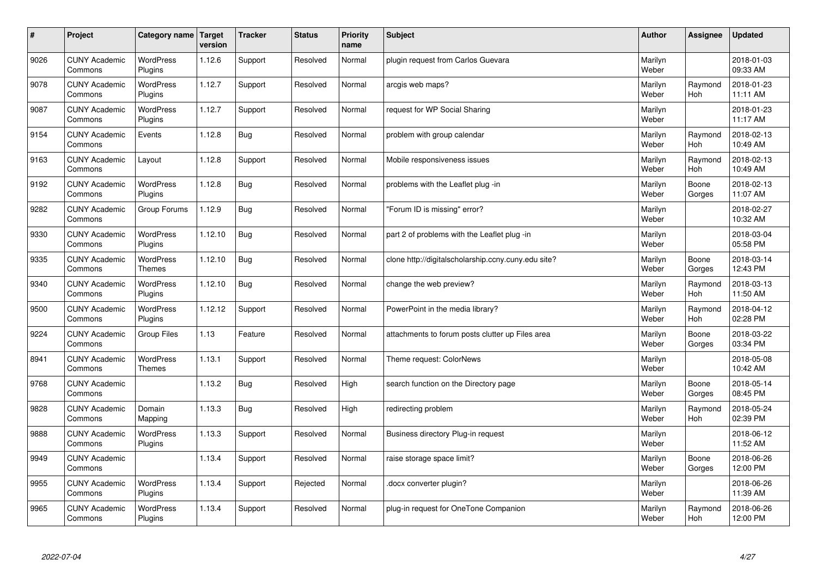| $\sharp$ | Project                         | Category name                     | <b>Target</b><br>version | <b>Tracker</b> | <b>Status</b> | <b>Priority</b><br>name | <b>Subject</b>                                      | <b>Author</b>    | Assignee              | <b>Updated</b>         |
|----------|---------------------------------|-----------------------------------|--------------------------|----------------|---------------|-------------------------|-----------------------------------------------------|------------------|-----------------------|------------------------|
| 9026     | <b>CUNY Academic</b><br>Commons | <b>WordPress</b><br>Plugins       | 1.12.6                   | Support        | Resolved      | Normal                  | plugin request from Carlos Guevara                  | Marilyn<br>Weber |                       | 2018-01-03<br>09:33 AM |
| 9078     | <b>CUNY Academic</b><br>Commons | <b>WordPress</b><br>Plugins       | 1.12.7                   | Support        | Resolved      | Normal                  | arcgis web maps?                                    | Marilyn<br>Weber | Raymond<br>Hoh        | 2018-01-23<br>11:11 AM |
| 9087     | <b>CUNY Academic</b><br>Commons | <b>WordPress</b><br>Plugins       | 1.12.7                   | Support        | Resolved      | Normal                  | request for WP Social Sharing                       | Marilyn<br>Weber |                       | 2018-01-23<br>11:17 AM |
| 9154     | <b>CUNY Academic</b><br>Commons | Events                            | 1.12.8                   | Bug            | Resolved      | Normal                  | problem with group calendar                         | Marilyn<br>Weber | Raymond<br><b>Hoh</b> | 2018-02-13<br>10:49 AM |
| 9163     | <b>CUNY Academic</b><br>Commons | Layout                            | 1.12.8                   | Support        | Resolved      | Normal                  | Mobile responsiveness issues                        | Marilyn<br>Weber | Raymond<br>Hoh        | 2018-02-13<br>10:49 AM |
| 9192     | <b>CUNY Academic</b><br>Commons | WordPress<br>Plugins              | 1.12.8                   | Bug            | Resolved      | Normal                  | problems with the Leaflet plug -in                  | Marilyn<br>Weber | Boone<br>Gorges       | 2018-02-13<br>11:07 AM |
| 9282     | <b>CUNY Academic</b><br>Commons | Group Forums                      | 1.12.9                   | <b>Bug</b>     | Resolved      | Normal                  | 'Forum ID is missing" error?                        | Marilyn<br>Weber |                       | 2018-02-27<br>10:32 AM |
| 9330     | <b>CUNY Academic</b><br>Commons | WordPress<br>Plugins              | 1.12.10                  | Bug            | Resolved      | Normal                  | part 2 of problems with the Leaflet plug -in        | Marilyn<br>Weber |                       | 2018-03-04<br>05:58 PM |
| 9335     | <b>CUNY Academic</b><br>Commons | <b>WordPress</b><br><b>Themes</b> | 1.12.10                  | Bug            | Resolved      | Normal                  | clone http://digitalscholarship.ccny.cuny.edu site? | Marilyn<br>Weber | Boone<br>Gorges       | 2018-03-14<br>12:43 PM |
| 9340     | <b>CUNY Academic</b><br>Commons | WordPress<br>Plugins              | 1.12.10                  | Bug            | Resolved      | Normal                  | change the web preview?                             | Marilyn<br>Weber | Raymond<br><b>Hoh</b> | 2018-03-13<br>11:50 AM |
| 9500     | <b>CUNY Academic</b><br>Commons | WordPress<br>Plugins              | 1.12.12                  | Support        | Resolved      | Normal                  | PowerPoint in the media library?                    | Marilyn<br>Weber | Raymond<br>Hoh        | 2018-04-12<br>02:28 PM |
| 9224     | <b>CUNY Academic</b><br>Commons | <b>Group Files</b>                | 1.13                     | Feature        | Resolved      | Normal                  | attachments to forum posts clutter up Files area    | Marilyn<br>Weber | Boone<br>Gorges       | 2018-03-22<br>03:34 PM |
| 8941     | <b>CUNY Academic</b><br>Commons | <b>WordPress</b><br><b>Themes</b> | 1.13.1                   | Support        | Resolved      | Normal                  | Theme request: ColorNews                            | Marilyn<br>Weber |                       | 2018-05-08<br>10:42 AM |
| 9768     | <b>CUNY Academic</b><br>Commons |                                   | 1.13.2                   | Bug            | Resolved      | High                    | search function on the Directory page               | Marilyn<br>Weber | Boone<br>Gorges       | 2018-05-14<br>08:45 PM |
| 9828     | <b>CUNY Academic</b><br>Commons | Domain<br>Mapping                 | 1.13.3                   | Bug            | Resolved      | High                    | redirecting problem                                 | Marilyn<br>Weber | Raymond<br><b>Hoh</b> | 2018-05-24<br>02:39 PM |
| 9888     | <b>CUNY Academic</b><br>Commons | <b>WordPress</b><br>Plugins       | 1.13.3                   | Support        | Resolved      | Normal                  | Business directory Plug-in request                  | Marilyn<br>Weber |                       | 2018-06-12<br>11:52 AM |
| 9949     | <b>CUNY Academic</b><br>Commons |                                   | 1.13.4                   | Support        | Resolved      | Normal                  | raise storage space limit?                          | Marilyn<br>Weber | Boone<br>Gorges       | 2018-06-26<br>12:00 PM |
| 9955     | <b>CUNY Academic</b><br>Commons | <b>WordPress</b><br>Plugins       | 1.13.4                   | Support        | Rejected      | Normal                  | docx converter plugin?                              | Marilyn<br>Weber |                       | 2018-06-26<br>11:39 AM |
| 9965     | <b>CUNY Academic</b><br>Commons | WordPress<br>Plugins              | 1.13.4                   | Support        | Resolved      | Normal                  | plug-in request for OneTone Companion               | Marilyn<br>Weber | Raymond<br>Hoh        | 2018-06-26<br>12:00 PM |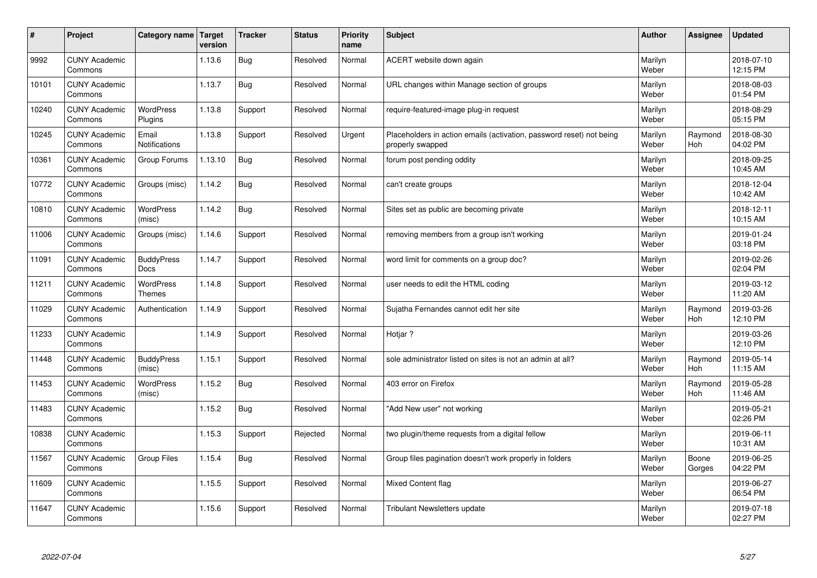| #     | Project                         | Category name   Target            | version | <b>Tracker</b> | <b>Status</b> | <b>Priority</b><br>name | <b>Subject</b>                                                                           | <b>Author</b>    | Assignee              | <b>Updated</b>         |
|-------|---------------------------------|-----------------------------------|---------|----------------|---------------|-------------------------|------------------------------------------------------------------------------------------|------------------|-----------------------|------------------------|
| 9992  | <b>CUNY Academic</b><br>Commons |                                   | 1.13.6  | <b>Bug</b>     | Resolved      | Normal                  | ACERT website down again                                                                 | Marilyn<br>Weber |                       | 2018-07-10<br>12:15 PM |
| 10101 | <b>CUNY Academic</b><br>Commons |                                   | 1.13.7  | <b>Bug</b>     | Resolved      | Normal                  | URL changes within Manage section of groups                                              | Marilyn<br>Weber |                       | 2018-08-03<br>01:54 PM |
| 10240 | <b>CUNY Academic</b><br>Commons | <b>WordPress</b><br>Plugins       | 1.13.8  | Support        | Resolved      | Normal                  | require-featured-image plug-in request                                                   | Marilyn<br>Weber |                       | 2018-08-29<br>05:15 PM |
| 10245 | <b>CUNY Academic</b><br>Commons | Email<br>Notifications            | 1.13.8  | Support        | Resolved      | Urgent                  | Placeholders in action emails (activation, password reset) not being<br>properly swapped | Marilyn<br>Weber | Raymond<br>Hoh        | 2018-08-30<br>04:02 PM |
| 10361 | <b>CUNY Academic</b><br>Commons | Group Forums                      | 1.13.10 | <b>Bug</b>     | Resolved      | Normal                  | forum post pending oddity                                                                | Marilyn<br>Weber |                       | 2018-09-25<br>10:45 AM |
| 10772 | <b>CUNY Academic</b><br>Commons | Groups (misc)                     | 1.14.2  | <b>Bug</b>     | Resolved      | Normal                  | can't create groups                                                                      | Marilyn<br>Weber |                       | 2018-12-04<br>10:42 AM |
| 10810 | <b>CUNY Academic</b><br>Commons | WordPress<br>(misc)               | 1.14.2  | Bug            | Resolved      | Normal                  | Sites set as public are becoming private                                                 | Marilyn<br>Weber |                       | 2018-12-11<br>10:15 AM |
| 11006 | <b>CUNY Academic</b><br>Commons | Groups (misc)                     | 1.14.6  | Support        | Resolved      | Normal                  | removing members from a group isn't working                                              | Marilyn<br>Weber |                       | 2019-01-24<br>03:18 PM |
| 11091 | <b>CUNY Academic</b><br>Commons | <b>BuddyPress</b><br>Docs         | 1.14.7  | Support        | Resolved      | Normal                  | word limit for comments on a group doc?                                                  | Marilyn<br>Weber |                       | 2019-02-26<br>02:04 PM |
| 11211 | <b>CUNY Academic</b><br>Commons | <b>WordPress</b><br><b>Themes</b> | 1.14.8  | Support        | Resolved      | Normal                  | user needs to edit the HTML coding                                                       | Marilyn<br>Weber |                       | 2019-03-12<br>11:20 AM |
| 11029 | <b>CUNY Academic</b><br>Commons | Authentication                    | 1.14.9  | Support        | Resolved      | Normal                  | Sujatha Fernandes cannot edit her site                                                   | Marilyn<br>Weber | Raymond<br><b>Hoh</b> | 2019-03-26<br>12:10 PM |
| 11233 | <b>CUNY Academic</b><br>Commons |                                   | 1.14.9  | Support        | Resolved      | Normal                  | Hotjar ?                                                                                 | Marilyn<br>Weber |                       | 2019-03-26<br>12:10 PM |
| 11448 | <b>CUNY Academic</b><br>Commons | <b>BuddyPress</b><br>(misc)       | 1.15.1  | Support        | Resolved      | Normal                  | sole administrator listed on sites is not an admin at all?                               | Marilyn<br>Weber | Raymond<br>Hoh        | 2019-05-14<br>11:15 AM |
| 11453 | <b>CUNY Academic</b><br>Commons | WordPress<br>(misc)               | 1.15.2  | <b>Bug</b>     | Resolved      | Normal                  | 403 error on Firefox                                                                     | Marilyn<br>Weber | Raymond<br>Hoh        | 2019-05-28<br>11:46 AM |
| 11483 | <b>CUNY Academic</b><br>Commons |                                   | 1.15.2  | <b>Bug</b>     | Resolved      | Normal                  | 'Add New user" not working                                                               | Marilyn<br>Weber |                       | 2019-05-21<br>02:26 PM |
| 10838 | <b>CUNY Academic</b><br>Commons |                                   | 1.15.3  | Support        | Rejected      | Normal                  | two plugin/theme requests from a digital fellow                                          | Marilyn<br>Weber |                       | 2019-06-11<br>10:31 AM |
| 11567 | <b>CUNY Academic</b><br>Commons | <b>Group Files</b>                | 1.15.4  | <b>Bug</b>     | Resolved      | Normal                  | Group files pagination doesn't work properly in folders                                  | Marilyn<br>Weber | Boone<br>Gorges       | 2019-06-25<br>04:22 PM |
| 11609 | <b>CUNY Academic</b><br>Commons |                                   | 1.15.5  | Support        | Resolved      | Normal                  | Mixed Content flag                                                                       | Marilyn<br>Weber |                       | 2019-06-27<br>06:54 PM |
| 11647 | <b>CUNY Academic</b><br>Commons |                                   | 1.15.6  | Support        | Resolved      | Normal                  | Tribulant Newsletters update                                                             | Marilyn<br>Weber |                       | 2019-07-18<br>02:27 PM |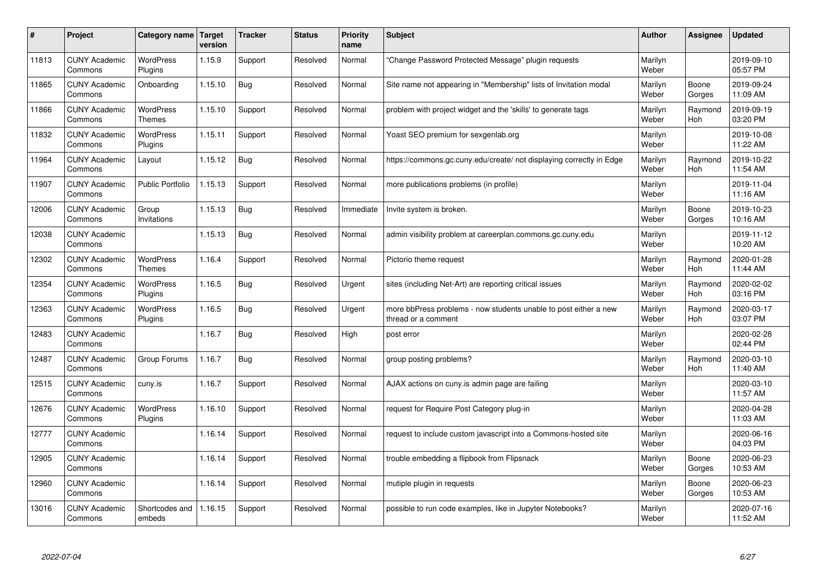| #     | Project                         | Category name   Target            | version | <b>Tracker</b> | <b>Status</b> | <b>Priority</b><br>name | <b>Subject</b>                                                                          | <b>Author</b>    | Assignee              | <b>Updated</b>         |
|-------|---------------------------------|-----------------------------------|---------|----------------|---------------|-------------------------|-----------------------------------------------------------------------------------------|------------------|-----------------------|------------------------|
| 11813 | <b>CUNY Academic</b><br>Commons | <b>WordPress</b><br>Plugins       | 1.15.9  | Support        | Resolved      | Normal                  | 'Change Password Protected Message" plugin requests                                     | Marilyn<br>Weber |                       | 2019-09-10<br>05:57 PM |
| 11865 | <b>CUNY Academic</b><br>Commons | Onboarding                        | 1.15.10 | Bug            | Resolved      | Normal                  | Site name not appearing in "Membership" lists of Invitation modal                       | Marilyn<br>Weber | Boone<br>Gorges       | 2019-09-24<br>11:09 AM |
| 11866 | <b>CUNY Academic</b><br>Commons | <b>WordPress</b><br><b>Themes</b> | 1.15.10 | Support        | Resolved      | Normal                  | problem with project widget and the 'skills' to generate tags                           | Marilyn<br>Weber | Raymond<br><b>Hoh</b> | 2019-09-19<br>03:20 PM |
| 11832 | <b>CUNY Academic</b><br>Commons | <b>WordPress</b><br>Plugins       | 1.15.11 | Support        | Resolved      | Normal                  | Yoast SEO premium for sexgenlab.org                                                     | Marilyn<br>Weber |                       | 2019-10-08<br>11:22 AM |
| 11964 | <b>CUNY Academic</b><br>Commons | Layout                            | 1.15.12 | Bug            | Resolved      | Normal                  | https://commons.gc.cuny.edu/create/ not displaying correctly in Edge                    | Marilyn<br>Weber | Raymond<br>Hoh        | 2019-10-22<br>11:54 AM |
| 11907 | <b>CUNY Academic</b><br>Commons | <b>Public Portfolio</b>           | 1.15.13 | Support        | Resolved      | Normal                  | more publications problems (in profile)                                                 | Marilyn<br>Weber |                       | 2019-11-04<br>11:16 AM |
| 12006 | <b>CUNY Academic</b><br>Commons | Group<br>Invitations              | 1.15.13 | Bug            | Resolved      | Immediate               | Invite system is broken.                                                                | Marilyn<br>Weber | Boone<br>Gorges       | 2019-10-23<br>10:16 AM |
| 12038 | <b>CUNY Academic</b><br>Commons |                                   | 1.15.13 | Bug            | Resolved      | Normal                  | admin visibility problem at careerplan.commons.gc.cuny.edu                              | Marilyn<br>Weber |                       | 2019-11-12<br>10:20 AM |
| 12302 | <b>CUNY Academic</b><br>Commons | <b>WordPress</b><br><b>Themes</b> | 1.16.4  | Support        | Resolved      | Normal                  | Pictorio theme request                                                                  | Marilyn<br>Weber | Raymond<br><b>Hoh</b> | 2020-01-28<br>11:44 AM |
| 12354 | <b>CUNY Academic</b><br>Commons | WordPress<br>Plugins              | 1.16.5  | <b>Bug</b>     | Resolved      | Urgent                  | sites (including Net-Art) are reporting critical issues                                 | Marilyn<br>Weber | Raymond<br><b>Hoh</b> | 2020-02-02<br>03:16 PM |
| 12363 | <b>CUNY Academic</b><br>Commons | <b>WordPress</b><br>Plugins       | 1.16.5  | Bug            | Resolved      | Urgent                  | more bbPress problems - now students unable to post either a new<br>thread or a comment | Marilyn<br>Weber | Raymond<br>Hoh        | 2020-03-17<br>03:07 PM |
| 12483 | <b>CUNY Academic</b><br>Commons |                                   | 1.16.7  | Bug            | Resolved      | High                    | post error                                                                              | Marilyn<br>Weber |                       | 2020-02-28<br>02:44 PM |
| 12487 | <b>CUNY Academic</b><br>Commons | Group Forums                      | 1.16.7  | Bug            | Resolved      | Normal                  | group posting problems?                                                                 | Marilyn<br>Weber | Raymond<br>Hoh        | 2020-03-10<br>11:40 AM |
| 12515 | <b>CUNY Academic</b><br>Commons | cuny.is                           | 1.16.7  | Support        | Resolved      | Normal                  | AJAX actions on cuny.is admin page are failing                                          | Marilyn<br>Weber |                       | 2020-03-10<br>11:57 AM |
| 12676 | <b>CUNY Academic</b><br>Commons | <b>WordPress</b><br>Plugins       | 1.16.10 | Support        | Resolved      | Normal                  | request for Require Post Category plug-in                                               | Marilyn<br>Weber |                       | 2020-04-28<br>11:03 AM |
| 12777 | <b>CUNY Academic</b><br>Commons |                                   | 1.16.14 | Support        | Resolved      | Normal                  | request to include custom javascript into a Commons-hosted site                         | Marilyn<br>Weber |                       | 2020-06-16<br>04:03 PM |
| 12905 | <b>CUNY Academic</b><br>Commons |                                   | 1.16.14 | Support        | Resolved      | Normal                  | trouble embedding a flipbook from Flipsnack                                             | Marilyn<br>Weber | Boone<br>Gorges       | 2020-06-23<br>10:53 AM |
| 12960 | <b>CUNY Academic</b><br>Commons |                                   | 1.16.14 | Support        | Resolved      | Normal                  | mutiple plugin in requests                                                              | Marilyn<br>Weber | Boone<br>Gorges       | 2020-06-23<br>10:53 AM |
| 13016 | <b>CUNY Academic</b><br>Commons | Shortcodes and<br>embeds          | 1.16.15 | Support        | Resolved      | Normal                  | possible to run code examples, like in Jupyter Notebooks?                               | Marilyn<br>Weber |                       | 2020-07-16<br>11:52 AM |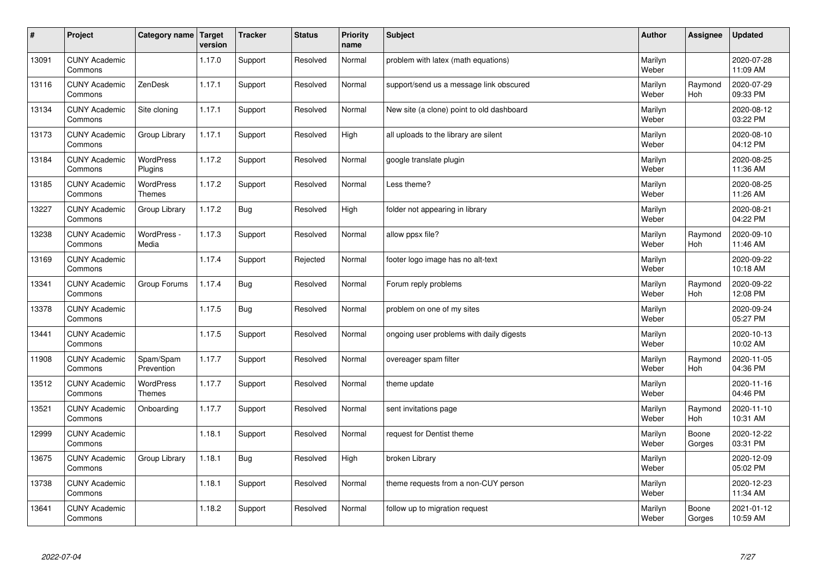| $\sharp$ | Project                         | Category name   Target            | version | <b>Tracker</b> | <b>Status</b> | <b>Priority</b><br>name | <b>Subject</b>                            | <b>Author</b>    | <b>Assignee</b>       | <b>Updated</b>         |
|----------|---------------------------------|-----------------------------------|---------|----------------|---------------|-------------------------|-------------------------------------------|------------------|-----------------------|------------------------|
| 13091    | <b>CUNY Academic</b><br>Commons |                                   | 1.17.0  | Support        | Resolved      | Normal                  | problem with latex (math equations)       | Marilyn<br>Weber |                       | 2020-07-28<br>11:09 AM |
| 13116    | <b>CUNY Academic</b><br>Commons | ZenDesk                           | 1.17.1  | Support        | Resolved      | Normal                  | support/send us a message link obscured   | Marilyn<br>Weber | Raymond<br><b>Hoh</b> | 2020-07-29<br>09:33 PM |
| 13134    | <b>CUNY Academic</b><br>Commons | Site cloning                      | 1.17.1  | Support        | Resolved      | Normal                  | New site (a clone) point to old dashboard | Marilyn<br>Weber |                       | 2020-08-12<br>03:22 PM |
| 13173    | <b>CUNY Academic</b><br>Commons | Group Library                     | 1.17.1  | Support        | Resolved      | High                    | all uploads to the library are silent     | Marilyn<br>Weber |                       | 2020-08-10<br>04:12 PM |
| 13184    | <b>CUNY Academic</b><br>Commons | <b>WordPress</b><br>Plugins       | 1.17.2  | Support        | Resolved      | Normal                  | google translate plugin                   | Marilyn<br>Weber |                       | 2020-08-25<br>11:36 AM |
| 13185    | <b>CUNY Academic</b><br>Commons | <b>WordPress</b><br><b>Themes</b> | 1.17.2  | Support        | Resolved      | Normal                  | Less theme?                               | Marilyn<br>Weber |                       | 2020-08-25<br>11:26 AM |
| 13227    | <b>CUNY Academic</b><br>Commons | Group Library                     | 1.17.2  | Bug            | Resolved      | High                    | folder not appearing in library           | Marilyn<br>Weber |                       | 2020-08-21<br>04:22 PM |
| 13238    | <b>CUNY Academic</b><br>Commons | WordPress -<br>Media              | 1.17.3  | Support        | Resolved      | Normal                  | allow ppsx file?                          | Marilyn<br>Weber | Raymond<br>Hoh        | 2020-09-10<br>11:46 AM |
| 13169    | <b>CUNY Academic</b><br>Commons |                                   | 1.17.4  | Support        | Rejected      | Normal                  | footer logo image has no alt-text         | Marilyn<br>Weber |                       | 2020-09-22<br>10:18 AM |
| 13341    | <b>CUNY Academic</b><br>Commons | Group Forums                      | 1.17.4  | Bug            | Resolved      | Normal                  | Forum reply problems                      | Marilyn<br>Weber | Raymond<br><b>Hoh</b> | 2020-09-22<br>12:08 PM |
| 13378    | <b>CUNY Academic</b><br>Commons |                                   | 1.17.5  | Bug            | Resolved      | Normal                  | problem on one of my sites                | Marilyn<br>Weber |                       | 2020-09-24<br>05:27 PM |
| 13441    | <b>CUNY Academic</b><br>Commons |                                   | 1.17.5  | Support        | Resolved      | Normal                  | ongoing user problems with daily digests  | Marilyn<br>Weber |                       | 2020-10-13<br>10:02 AM |
| 11908    | <b>CUNY Academic</b><br>Commons | Spam/Spam<br>Prevention           | 1.17.7  | Support        | Resolved      | Normal                  | overeager spam filter                     | Marilyn<br>Weber | Raymond<br>Hoh        | 2020-11-05<br>04:36 PM |
| 13512    | <b>CUNY Academic</b><br>Commons | WordPress<br><b>Themes</b>        | 1.17.7  | Support        | Resolved      | Normal                  | theme update                              | Marilyn<br>Weber |                       | 2020-11-16<br>04:46 PM |
| 13521    | <b>CUNY Academic</b><br>Commons | Onboarding                        | 1.17.7  | Support        | Resolved      | Normal                  | sent invitations page                     | Marilyn<br>Weber | Raymond<br><b>Hoh</b> | 2020-11-10<br>10:31 AM |
| 12999    | <b>CUNY Academic</b><br>Commons |                                   | 1.18.1  | Support        | Resolved      | Normal                  | request for Dentist theme                 | Marilyn<br>Weber | Boone<br>Gorges       | 2020-12-22<br>03:31 PM |
| 13675    | <b>CUNY Academic</b><br>Commons | Group Library                     | 1.18.1  | Bug            | Resolved      | High                    | broken Library                            | Marilyn<br>Weber |                       | 2020-12-09<br>05:02 PM |
| 13738    | <b>CUNY Academic</b><br>Commons |                                   | 1.18.1  | Support        | Resolved      | Normal                  | theme requests from a non-CUY person      | Marilyn<br>Weber |                       | 2020-12-23<br>11:34 AM |
| 13641    | <b>CUNY Academic</b><br>Commons |                                   | 1.18.2  | Support        | Resolved      | Normal                  | follow up to migration request            | Marilyn<br>Weber | Boone<br>Gorges       | 2021-01-12<br>10:59 AM |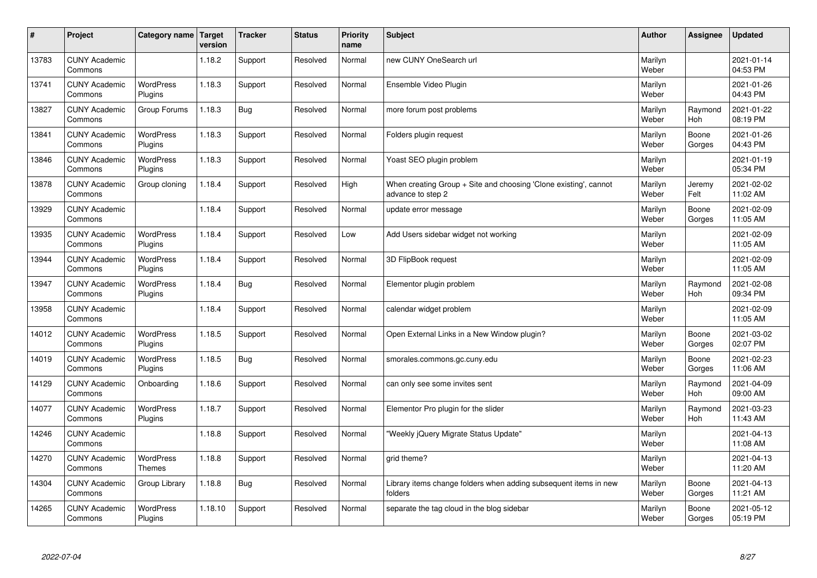| #     | Project                         | Category name   Target      | version | <b>Tracker</b> | <b>Status</b> | <b>Priority</b><br>name | <b>Subject</b>                                                                        | <b>Author</b>    | Assignee              | <b>Updated</b>         |
|-------|---------------------------------|-----------------------------|---------|----------------|---------------|-------------------------|---------------------------------------------------------------------------------------|------------------|-----------------------|------------------------|
| 13783 | <b>CUNY Academic</b><br>Commons |                             | 1.18.2  | Support        | Resolved      | Normal                  | new CUNY OneSearch url                                                                | Marilyn<br>Weber |                       | 2021-01-14<br>04:53 PM |
| 13741 | <b>CUNY Academic</b><br>Commons | <b>WordPress</b><br>Plugins | 1.18.3  | Support        | Resolved      | Normal                  | Ensemble Video Plugin                                                                 | Marilyn<br>Weber |                       | 2021-01-26<br>04:43 PM |
| 13827 | <b>CUNY Academic</b><br>Commons | Group Forums                | 1.18.3  | <b>Bug</b>     | Resolved      | Normal                  | more forum post problems                                                              | Marilyn<br>Weber | Raymond<br>Hoh        | 2021-01-22<br>08:19 PM |
| 13841 | <b>CUNY Academic</b><br>Commons | <b>WordPress</b><br>Plugins | 1.18.3  | Support        | Resolved      | Normal                  | Folders plugin request                                                                | Marilyn<br>Weber | Boone<br>Gorges       | 2021-01-26<br>04:43 PM |
| 13846 | <b>CUNY Academic</b><br>Commons | <b>WordPress</b><br>Plugins | 1.18.3  | Support        | Resolved      | Normal                  | Yoast SEO plugin problem                                                              | Marilyn<br>Weber |                       | 2021-01-19<br>05:34 PM |
| 13878 | <b>CUNY Academic</b><br>Commons | Group cloning               | 1.18.4  | Support        | Resolved      | High                    | When creating Group + Site and choosing 'Clone existing', cannot<br>advance to step 2 | Marilyn<br>Weber | Jeremy<br>Felt        | 2021-02-02<br>11:02 AM |
| 13929 | <b>CUNY Academic</b><br>Commons |                             | 1.18.4  | Support        | Resolved      | Normal                  | update error message                                                                  | Marilyn<br>Weber | Boone<br>Gorges       | 2021-02-09<br>11:05 AM |
| 13935 | <b>CUNY Academic</b><br>Commons | WordPress<br>Plugins        | 1.18.4  | Support        | Resolved      | Low                     | Add Users sidebar widget not working                                                  | Marilyn<br>Weber |                       | 2021-02-09<br>11:05 AM |
| 13944 | <b>CUNY Academic</b><br>Commons | WordPress<br>Plugins        | 1.18.4  | Support        | Resolved      | Normal                  | 3D FlipBook request                                                                   | Marilyn<br>Weber |                       | 2021-02-09<br>11:05 AM |
| 13947 | <b>CUNY Academic</b><br>Commons | WordPress<br>Plugins        | 1.18.4  | Bug            | Resolved      | Normal                  | Elementor plugin problem                                                              | Marilyn<br>Weber | Raymond<br><b>Hoh</b> | 2021-02-08<br>09:34 PM |
| 13958 | <b>CUNY Academic</b><br>Commons |                             | 1.18.4  | Support        | Resolved      | Normal                  | calendar widget problem                                                               | Marilyn<br>Weber |                       | 2021-02-09<br>11:05 AM |
| 14012 | <b>CUNY Academic</b><br>Commons | WordPress<br>Plugins        | 1.18.5  | Support        | Resolved      | Normal                  | Open External Links in a New Window plugin?                                           | Marilyn<br>Weber | Boone<br>Gorges       | 2021-03-02<br>02:07 PM |
| 14019 | <b>CUNY Academic</b><br>Commons | <b>WordPress</b><br>Plugins | 1.18.5  | Bug            | Resolved      | Normal                  | smorales.commons.gc.cuny.edu                                                          | Marilyn<br>Weber | Boone<br>Gorges       | 2021-02-23<br>11:06 AM |
| 14129 | <b>CUNY Academic</b><br>Commons | Onboarding                  | 1.18.6  | Support        | Resolved      | Normal                  | can only see some invites sent                                                        | Marilyn<br>Weber | Raymond<br><b>Hoh</b> | 2021-04-09<br>09:00 AM |
| 14077 | <b>CUNY Academic</b><br>Commons | WordPress<br>Plugins        | 1.18.7  | Support        | Resolved      | Normal                  | Elementor Pro plugin for the slider                                                   | Marilyn<br>Weber | Raymond<br><b>Hoh</b> | 2021-03-23<br>11:43 AM |
| 14246 | <b>CUNY Academic</b><br>Commons |                             | 1.18.8  | Support        | Resolved      | Normal                  | "Weekly jQuery Migrate Status Update"                                                 | Marilyn<br>Weber |                       | 2021-04-13<br>11:08 AM |
| 14270 | <b>CUNY Academic</b><br>Commons | WordPress<br><b>Themes</b>  | 1.18.8  | Support        | Resolved      | Normal                  | grid theme?                                                                           | Marilyn<br>Weber |                       | 2021-04-13<br>11:20 AM |
| 14304 | <b>CUNY Academic</b><br>Commons | Group Library               | 1.18.8  | <b>Bug</b>     | Resolved      | Normal                  | Library items change folders when adding subsequent items in new<br>folders           | Marilyn<br>Weber | Boone<br>Gorges       | 2021-04-13<br>11:21 AM |
| 14265 | <b>CUNY Academic</b><br>Commons | <b>WordPress</b><br>Plugins | 1.18.10 | Support        | Resolved      | Normal                  | separate the tag cloud in the blog sidebar                                            | Marilyn<br>Weber | Boone<br>Gorges       | 2021-05-12<br>05:19 PM |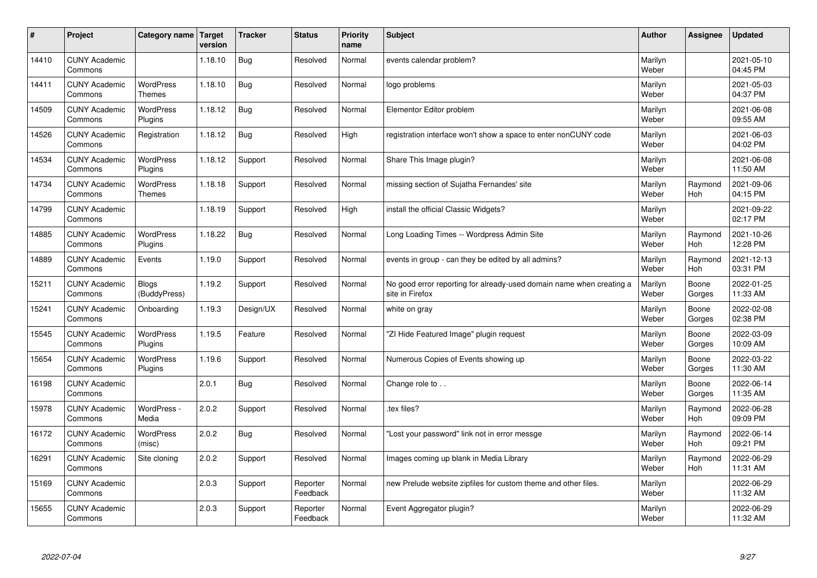| #     | Project                         | Category name   Target            | version | <b>Tracker</b> | <b>Status</b>        | <b>Priority</b><br>name | <b>Subject</b>                                                                          | <b>Author</b>    | Assignee              | <b>Updated</b>         |
|-------|---------------------------------|-----------------------------------|---------|----------------|----------------------|-------------------------|-----------------------------------------------------------------------------------------|------------------|-----------------------|------------------------|
| 14410 | <b>CUNY Academic</b><br>Commons |                                   | 1.18.10 | <b>Bug</b>     | Resolved             | Normal                  | events calendar problem?                                                                | Marilyn<br>Weber |                       | 2021-05-10<br>04:45 PM |
| 14411 | <b>CUNY Academic</b><br>Commons | <b>WordPress</b><br><b>Themes</b> | 1.18.10 | <b>Bug</b>     | Resolved             | Normal                  | logo problems                                                                           | Marilyn<br>Weber |                       | 2021-05-03<br>04:37 PM |
| 14509 | <b>CUNY Academic</b><br>Commons | <b>WordPress</b><br>Plugins       | 1.18.12 | <b>Bug</b>     | Resolved             | Normal                  | Elementor Editor problem                                                                | Marilyn<br>Weber |                       | 2021-06-08<br>09:55 AM |
| 14526 | <b>CUNY Academic</b><br>Commons | Registration                      | 1.18.12 | Bug            | Resolved             | High                    | registration interface won't show a space to enter nonCUNY code                         | Marilyn<br>Weber |                       | 2021-06-03<br>04:02 PM |
| 14534 | <b>CUNY Academic</b><br>Commons | WordPress<br>Plugins              | 1.18.12 | Support        | Resolved             | Normal                  | Share This Image plugin?                                                                | Marilyn<br>Weber |                       | 2021-06-08<br>11:50 AM |
| 14734 | <b>CUNY Academic</b><br>Commons | <b>WordPress</b><br><b>Themes</b> | 1.18.18 | Support        | Resolved             | Normal                  | missing section of Sujatha Fernandes' site                                              | Marilyn<br>Weber | Raymond<br>Hoh        | 2021-09-06<br>04:15 PM |
| 14799 | <b>CUNY Academic</b><br>Commons |                                   | 1.18.19 | Support        | Resolved             | High                    | install the official Classic Widgets?                                                   | Marilyn<br>Weber |                       | 2021-09-22<br>02:17 PM |
| 14885 | <b>CUNY Academic</b><br>Commons | WordPress<br>Plugins              | 1.18.22 | <b>Bug</b>     | Resolved             | Normal                  | Long Loading Times -- Wordpress Admin Site                                              | Marilyn<br>Weber | Raymond<br><b>Hoh</b> | 2021-10-26<br>12:28 PM |
| 14889 | <b>CUNY Academic</b><br>Commons | Events                            | 1.19.0  | Support        | Resolved             | Normal                  | events in group - can they be edited by all admins?                                     | Marilyn<br>Weber | Raymond<br>Hoh        | 2021-12-13<br>03:31 PM |
| 15211 | <b>CUNY Academic</b><br>Commons | <b>Blogs</b><br>(BuddyPress)      | 1.19.2  | Support        | Resolved             | Normal                  | No good error reporting for already-used domain name when creating a<br>site in Firefox | Marilyn<br>Weber | Boone<br>Gorges       | 2022-01-25<br>11:33 AM |
| 15241 | <b>CUNY Academic</b><br>Commons | Onboarding                        | 1.19.3  | Design/UX      | Resolved             | Normal                  | white on gray                                                                           | Marilyn<br>Weber | Boone<br>Gorges       | 2022-02-08<br>02:38 PM |
| 15545 | <b>CUNY Academic</b><br>Commons | WordPress<br>Plugins              | 1.19.5  | Feature        | Resolved             | Normal                  | "ZI Hide Featured Image" plugin request                                                 | Marilyn<br>Weber | Boone<br>Gorges       | 2022-03-09<br>10:09 AM |
| 15654 | <b>CUNY Academic</b><br>Commons | <b>WordPress</b><br>Plugins       | 1.19.6  | Support        | Resolved             | Normal                  | Numerous Copies of Events showing up                                                    | Marilyn<br>Weber | Boone<br>Gorges       | 2022-03-22<br>11:30 AM |
| 16198 | <b>CUNY Academic</b><br>Commons |                                   | 2.0.1   | <b>Bug</b>     | Resolved             | Normal                  | Change role to                                                                          | Marilyn<br>Weber | Boone<br>Gorges       | 2022-06-14<br>11:35 AM |
| 15978 | <b>CUNY Academic</b><br>Commons | WordPress -<br>Media              | 2.0.2   | Support        | Resolved             | Normal                  | tex files?                                                                              | Marilyn<br>Weber | Raymond<br>Hoh        | 2022-06-28<br>09:09 PM |
| 16172 | <b>CUNY Academic</b><br>Commons | WordPress<br>(misc)               | 2.0.2   | Bug            | Resolved             | Normal                  | "Lost your password" link not in error messge                                           | Marilyn<br>Weber | Raymond<br>Hoh        | 2022-06-14<br>09:21 PM |
| 16291 | <b>CUNY Academic</b><br>Commons | Site cloning                      | 2.0.2   | Support        | Resolved             | Normal                  | Images coming up blank in Media Library                                                 | Marilyn<br>Weber | Raymond<br>Hoh        | 2022-06-29<br>11:31 AM |
| 15169 | <b>CUNY Academic</b><br>Commons |                                   | 2.0.3   | Support        | Reporter<br>Feedback | Normal                  | new Prelude website zipfiles for custom theme and other files.                          | Marilyn<br>Weber |                       | 2022-06-29<br>11:32 AM |
| 15655 | <b>CUNY Academic</b><br>Commons |                                   | 2.0.3   | Support        | Reporter<br>Feedback | Normal                  | Event Aggregator plugin?                                                                | Marilyn<br>Weber |                       | 2022-06-29<br>11:32 AM |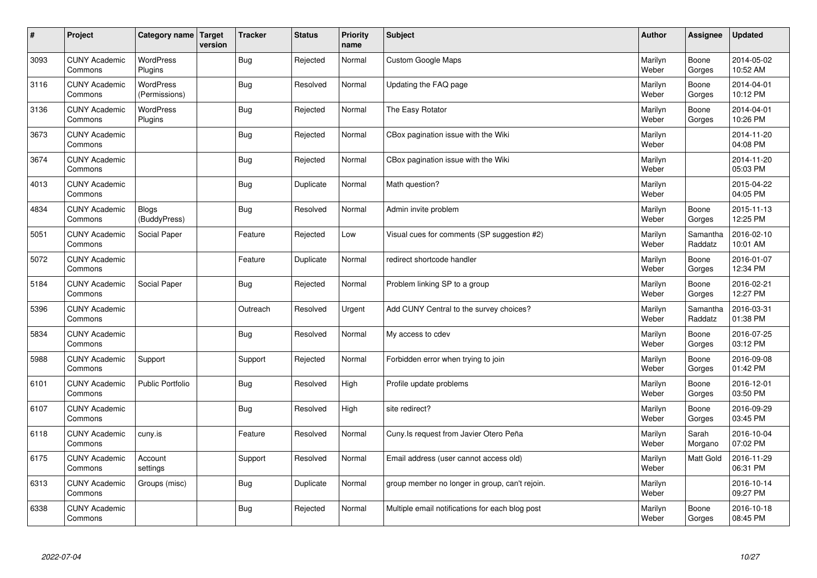| $\sharp$ | Project                         | Category name   Target            | version | <b>Tracker</b> | <b>Status</b> | <b>Priority</b><br>name | <b>Subject</b>                                  | <b>Author</b>    | Assignee            | <b>Updated</b>         |
|----------|---------------------------------|-----------------------------------|---------|----------------|---------------|-------------------------|-------------------------------------------------|------------------|---------------------|------------------------|
| 3093     | <b>CUNY Academic</b><br>Commons | <b>WordPress</b><br>Plugins       |         | Bug            | Rejected      | Normal                  | <b>Custom Google Maps</b>                       | Marilyn<br>Weber | Boone<br>Gorges     | 2014-05-02<br>10:52 AM |
| 3116     | <b>CUNY Academic</b><br>Commons | <b>WordPress</b><br>(Permissions) |         | Bug            | Resolved      | Normal                  | Updating the FAQ page                           | Marilyn<br>Weber | Boone<br>Gorges     | 2014-04-01<br>10:12 PM |
| 3136     | <b>CUNY Academic</b><br>Commons | WordPress<br>Plugins              |         | <b>Bug</b>     | Rejected      | Normal                  | The Easy Rotator                                | Marilyn<br>Weber | Boone<br>Gorges     | 2014-04-01<br>10:26 PM |
| 3673     | <b>CUNY Academic</b><br>Commons |                                   |         | <b>Bug</b>     | Rejected      | Normal                  | CBox pagination issue with the Wiki             | Marilyn<br>Weber |                     | 2014-11-20<br>04:08 PM |
| 3674     | <b>CUNY Academic</b><br>Commons |                                   |         | Bug            | Rejected      | Normal                  | CBox pagination issue with the Wiki             | Marilyn<br>Weber |                     | 2014-11-20<br>05:03 PM |
| 4013     | <b>CUNY Academic</b><br>Commons |                                   |         | <b>Bug</b>     | Duplicate     | Normal                  | Math question?                                  | Marilyn<br>Weber |                     | 2015-04-22<br>04:05 PM |
| 4834     | <b>CUNY Academic</b><br>Commons | <b>Blogs</b><br>(BuddyPress)      |         | Bug            | Resolved      | Normal                  | Admin invite problem                            | Marilyn<br>Weber | Boone<br>Gorges     | 2015-11-13<br>12:25 PM |
| 5051     | <b>CUNY Academic</b><br>Commons | Social Paper                      |         | Feature        | Rejected      | Low                     | Visual cues for comments (SP suggestion #2)     | Marilyn<br>Weber | Samantha<br>Raddatz | 2016-02-10<br>10:01 AM |
| 5072     | <b>CUNY Academic</b><br>Commons |                                   |         | Feature        | Duplicate     | Normal                  | redirect shortcode handler                      | Marilyn<br>Weber | Boone<br>Gorges     | 2016-01-07<br>12:34 PM |
| 5184     | <b>CUNY Academic</b><br>Commons | Social Paper                      |         | <b>Bug</b>     | Rejected      | Normal                  | Problem linking SP to a group                   | Marilyn<br>Weber | Boone<br>Gorges     | 2016-02-21<br>12:27 PM |
| 5396     | <b>CUNY Academic</b><br>Commons |                                   |         | Outreach       | Resolved      | Urgent                  | Add CUNY Central to the survey choices?         | Marilyn<br>Weber | Samantha<br>Raddatz | 2016-03-31<br>01:38 PM |
| 5834     | <b>CUNY Academic</b><br>Commons |                                   |         | <b>Bug</b>     | Resolved      | Normal                  | My access to cdev                               | Marilyn<br>Weber | Boone<br>Gorges     | 2016-07-25<br>03:12 PM |
| 5988     | <b>CUNY Academic</b><br>Commons | Support                           |         | Support        | Rejected      | Normal                  | Forbidden error when trying to join             | Marilyn<br>Weber | Boone<br>Gorges     | 2016-09-08<br>01:42 PM |
| 6101     | <b>CUNY Academic</b><br>Commons | Public Portfolio                  |         | <b>Bug</b>     | Resolved      | High                    | Profile update problems                         | Marilyn<br>Weber | Boone<br>Gorges     | 2016-12-01<br>03:50 PM |
| 6107     | <b>CUNY Academic</b><br>Commons |                                   |         | Bug            | Resolved      | High                    | site redirect?                                  | Marilyn<br>Weber | Boone<br>Gorges     | 2016-09-29<br>03:45 PM |
| 6118     | <b>CUNY Academic</b><br>Commons | cuny.is                           |         | Feature        | Resolved      | Normal                  | Cuny. Is request from Javier Otero Peña         | Marilyn<br>Weber | Sarah<br>Morgano    | 2016-10-04<br>07:02 PM |
| 6175     | <b>CUNY Academic</b><br>Commons | Account<br>settings               |         | Support        | Resolved      | Normal                  | Email address (user cannot access old)          | Marilyn<br>Weber | Matt Gold           | 2016-11-29<br>06:31 PM |
| 6313     | <b>CUNY Academic</b><br>Commons | Groups (misc)                     |         | Bug            | Duplicate     | Normal                  | group member no longer in group, can't rejoin.  | Marilyn<br>Weber |                     | 2016-10-14<br>09:27 PM |
| 6338     | <b>CUNY Academic</b><br>Commons |                                   |         | Bug            | Rejected      | Normal                  | Multiple email notifications for each blog post | Marilyn<br>Weber | Boone<br>Gorges     | 2016-10-18<br>08:45 PM |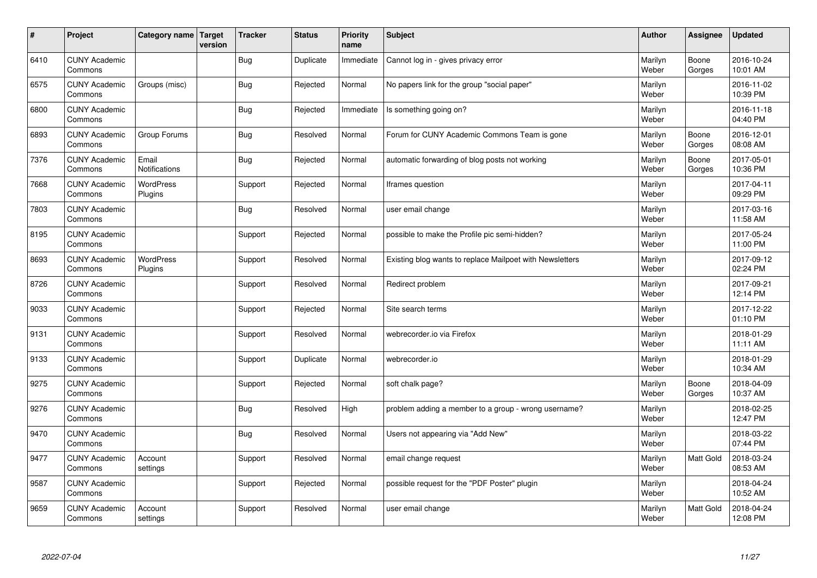| $\vert$ # | Project                         | Category name   Target        | version | <b>Tracker</b> | <b>Status</b> | <b>Priority</b><br>name | <b>Subject</b>                                           | <b>Author</b>    | Assignee        | <b>Updated</b>         |
|-----------|---------------------------------|-------------------------------|---------|----------------|---------------|-------------------------|----------------------------------------------------------|------------------|-----------------|------------------------|
| 6410      | <b>CUNY Academic</b><br>Commons |                               |         | <b>Bug</b>     | Duplicate     | Immediate               | Cannot log in - gives privacy error                      | Marilyn<br>Weber | Boone<br>Gorges | 2016-10-24<br>10:01 AM |
| 6575      | <b>CUNY Academic</b><br>Commons | Groups (misc)                 |         | Bug            | Rejected      | Normal                  | No papers link for the group "social paper"              | Marilyn<br>Weber |                 | 2016-11-02<br>10:39 PM |
| 6800      | <b>CUNY Academic</b><br>Commons |                               |         | Bug            | Rejected      | Immediate               | Is something going on?                                   | Marilyn<br>Weber |                 | 2016-11-18<br>04:40 PM |
| 6893      | <b>CUNY Academic</b><br>Commons | Group Forums                  |         | <b>Bug</b>     | Resolved      | Normal                  | Forum for CUNY Academic Commons Team is gone             | Marilyn<br>Weber | Boone<br>Gorges | 2016-12-01<br>08:08 AM |
| 7376      | <b>CUNY Academic</b><br>Commons | Email<br><b>Notifications</b> |         | <b>Bug</b>     | Rejected      | Normal                  | automatic forwarding of blog posts not working           | Marilyn<br>Weber | Boone<br>Gorges | 2017-05-01<br>10:36 PM |
| 7668      | <b>CUNY Academic</b><br>Commons | <b>WordPress</b><br>Plugins   |         | Support        | Rejected      | Normal                  | Iframes question                                         | Marilyn<br>Weber |                 | 2017-04-11<br>09:29 PM |
| 7803      | <b>CUNY Academic</b><br>Commons |                               |         | Bug            | Resolved      | Normal                  | user email change                                        | Marilyn<br>Weber |                 | 2017-03-16<br>11:58 AM |
| 8195      | <b>CUNY Academic</b><br>Commons |                               |         | Support        | Rejected      | Normal                  | possible to make the Profile pic semi-hidden?            | Marilyn<br>Weber |                 | 2017-05-24<br>11:00 PM |
| 8693      | <b>CUNY Academic</b><br>Commons | WordPress<br>Plugins          |         | Support        | Resolved      | Normal                  | Existing blog wants to replace Mailpoet with Newsletters | Marilyn<br>Weber |                 | 2017-09-12<br>02:24 PM |
| 8726      | <b>CUNY Academic</b><br>Commons |                               |         | Support        | Resolved      | Normal                  | Redirect problem                                         | Marilyn<br>Weber |                 | 2017-09-21<br>12:14 PM |
| 9033      | <b>CUNY Academic</b><br>Commons |                               |         | Support        | Rejected      | Normal                  | Site search terms                                        | Marilyn<br>Weber |                 | 2017-12-22<br>01:10 PM |
| 9131      | <b>CUNY Academic</b><br>Commons |                               |         | Support        | Resolved      | Normal                  | webrecorder.io via Firefox                               | Marilyn<br>Weber |                 | 2018-01-29<br>11:11 AM |
| 9133      | <b>CUNY Academic</b><br>Commons |                               |         | Support        | Duplicate     | Normal                  | webrecorder.io                                           | Marilyn<br>Weber |                 | 2018-01-29<br>10:34 AM |
| 9275      | <b>CUNY Academic</b><br>Commons |                               |         | Support        | Rejected      | Normal                  | soft chalk page?                                         | Marilyn<br>Weber | Boone<br>Gorges | 2018-04-09<br>10:37 AM |
| 9276      | <b>CUNY Academic</b><br>Commons |                               |         | <b>Bug</b>     | Resolved      | High                    | problem adding a member to a group - wrong username?     | Marilyn<br>Weber |                 | 2018-02-25<br>12:47 PM |
| 9470      | <b>CUNY Academic</b><br>Commons |                               |         | Bug            | Resolved      | Normal                  | Users not appearing via "Add New"                        | Marilyn<br>Weber |                 | 2018-03-22<br>07:44 PM |
| 9477      | <b>CUNY Academic</b><br>Commons | Account<br>settings           |         | Support        | Resolved      | Normal                  | email change request                                     | Marilyn<br>Weber | Matt Gold       | 2018-03-24<br>08:53 AM |
| 9587      | <b>CUNY Academic</b><br>Commons |                               |         | Support        | Rejected      | Normal                  | possible request for the "PDF Poster" plugin             | Marilyn<br>Weber |                 | 2018-04-24<br>10:52 AM |
| 9659      | <b>CUNY Academic</b><br>Commons | Account<br>settings           |         | Support        | Resolved      | Normal                  | user email change                                        | Marilyn<br>Weber | Matt Gold       | 2018-04-24<br>12:08 PM |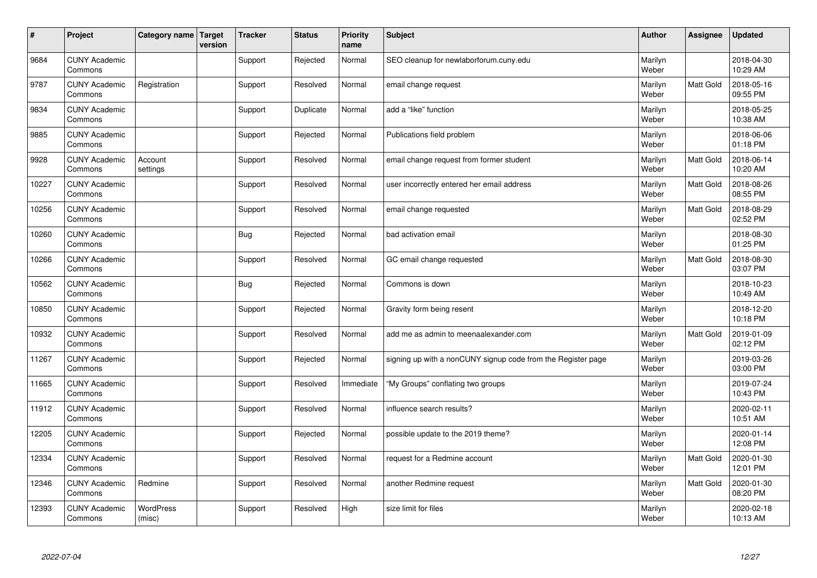| $\vert$ # | Project                         | Category name   Target     | version | <b>Tracker</b> | <b>Status</b> | <b>Priority</b><br>name | <b>Subject</b>                                               | <b>Author</b>    | <b>Assignee</b>  | <b>Updated</b>         |
|-----------|---------------------------------|----------------------------|---------|----------------|---------------|-------------------------|--------------------------------------------------------------|------------------|------------------|------------------------|
| 9684      | <b>CUNY Academic</b><br>Commons |                            |         | Support        | Rejected      | Normal                  | SEO cleanup for newlaborforum.cuny.edu                       | Marilyn<br>Weber |                  | 2018-04-30<br>10:29 AM |
| 9787      | <b>CUNY Academic</b><br>Commons | Registration               |         | Support        | Resolved      | Normal                  | email change request                                         | Marilyn<br>Weber | Matt Gold        | 2018-05-16<br>09:55 PM |
| 9834      | <b>CUNY Academic</b><br>Commons |                            |         | Support        | Duplicate     | Normal                  | add a "like" function                                        | Marilyn<br>Weber |                  | 2018-05-25<br>10:38 AM |
| 9885      | <b>CUNY Academic</b><br>Commons |                            |         | Support        | Rejected      | Normal                  | Publications field problem                                   | Marilyn<br>Weber |                  | 2018-06-06<br>01:18 PM |
| 9928      | <b>CUNY Academic</b><br>Commons | Account<br>settings        |         | Support        | Resolved      | Normal                  | email change request from former student                     | Marilyn<br>Weber | <b>Matt Gold</b> | 2018-06-14<br>10:20 AM |
| 10227     | <b>CUNY Academic</b><br>Commons |                            |         | Support        | Resolved      | Normal                  | user incorrectly entered her email address                   | Marilyn<br>Weber | Matt Gold        | 2018-08-26<br>08:55 PM |
| 10256     | <b>CUNY Academic</b><br>Commons |                            |         | Support        | Resolved      | Normal                  | email change requested                                       | Marilyn<br>Weber | Matt Gold        | 2018-08-29<br>02:52 PM |
| 10260     | <b>CUNY Academic</b><br>Commons |                            |         | <b>Bug</b>     | Rejected      | Normal                  | bad activation email                                         | Marilyn<br>Weber |                  | 2018-08-30<br>01:25 PM |
| 10266     | <b>CUNY Academic</b><br>Commons |                            |         | Support        | Resolved      | Normal                  | GC email change requested                                    | Marilyn<br>Weber | Matt Gold        | 2018-08-30<br>03:07 PM |
| 10562     | <b>CUNY Academic</b><br>Commons |                            |         | Bug            | Rejected      | Normal                  | Commons is down                                              | Marilyn<br>Weber |                  | 2018-10-23<br>10:49 AM |
| 10850     | <b>CUNY Academic</b><br>Commons |                            |         | Support        | Rejected      | Normal                  | Gravity form being resent                                    | Marilyn<br>Weber |                  | 2018-12-20<br>10:18 PM |
| 10932     | <b>CUNY Academic</b><br>Commons |                            |         | Support        | Resolved      | Normal                  | add me as admin to meenaalexander.com                        | Marilyn<br>Weber | Matt Gold        | 2019-01-09<br>02:12 PM |
| 11267     | <b>CUNY Academic</b><br>Commons |                            |         | Support        | Rejected      | Normal                  | signing up with a nonCUNY signup code from the Register page | Marilyn<br>Weber |                  | 2019-03-26<br>03:00 PM |
| 11665     | <b>CUNY Academic</b><br>Commons |                            |         | Support        | Resolved      | Immediate               | 'My Groups" conflating two groups                            | Marilyn<br>Weber |                  | 2019-07-24<br>10:43 PM |
| 11912     | <b>CUNY Academic</b><br>Commons |                            |         | Support        | Resolved      | Normal                  | influence search results?                                    | Marilyn<br>Weber |                  | 2020-02-11<br>10:51 AM |
| 12205     | <b>CUNY Academic</b><br>Commons |                            |         | Support        | Rejected      | Normal                  | possible update to the 2019 theme?                           | Marilyn<br>Weber |                  | 2020-01-14<br>12:08 PM |
| 12334     | <b>CUNY Academic</b><br>Commons |                            |         | Support        | Resolved      | Normal                  | request for a Redmine account                                | Marilyn<br>Weber | Matt Gold        | 2020-01-30<br>12:01 PM |
| 12346     | <b>CUNY Academic</b><br>Commons | Redmine                    |         | Support        | Resolved      | Normal                  | another Redmine request                                      | Marilyn<br>Weber | Matt Gold        | 2020-01-30<br>08:20 PM |
| 12393     | <b>CUNY Academic</b><br>Commons | <b>WordPress</b><br>(misc) |         | Support        | Resolved      | High                    | size limit for files                                         | Marilyn<br>Weber |                  | 2020-02-18<br>10:13 AM |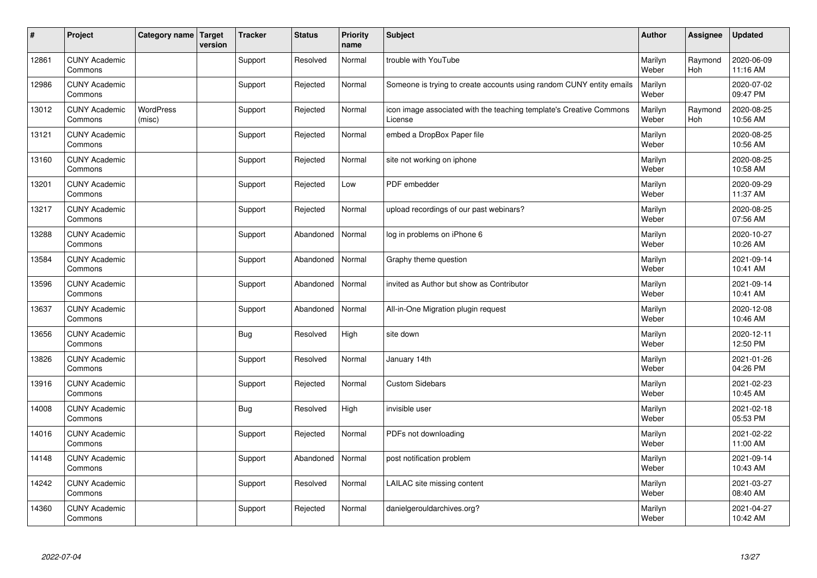| $\vert$ # | Project                         | Category name   Target     | version | <b>Tracker</b> | <b>Status</b> | <b>Priority</b><br>name | <b>Subject</b>                                                                 | <b>Author</b>    | <b>Assignee</b>       | <b>Updated</b>         |
|-----------|---------------------------------|----------------------------|---------|----------------|---------------|-------------------------|--------------------------------------------------------------------------------|------------------|-----------------------|------------------------|
| 12861     | <b>CUNY Academic</b><br>Commons |                            |         | Support        | Resolved      | Normal                  | trouble with YouTube                                                           | Marilyn<br>Weber | Raymond<br><b>Hoh</b> | 2020-06-09<br>11:16 AM |
| 12986     | <b>CUNY Academic</b><br>Commons |                            |         | Support        | Rejected      | Normal                  | Someone is trying to create accounts using random CUNY entity emails           | Marilyn<br>Weber |                       | 2020-07-02<br>09:47 PM |
| 13012     | <b>CUNY Academic</b><br>Commons | <b>WordPress</b><br>(misc) |         | Support        | Rejected      | Normal                  | icon image associated with the teaching template's Creative Commons<br>License | Marilyn<br>Weber | Raymond<br>Hoh        | 2020-08-25<br>10:56 AM |
| 13121     | <b>CUNY Academic</b><br>Commons |                            |         | Support        | Rejected      | Normal                  | embed a DropBox Paper file                                                     | Marilyn<br>Weber |                       | 2020-08-25<br>10:56 AM |
| 13160     | <b>CUNY Academic</b><br>Commons |                            |         | Support        | Rejected      | Normal                  | site not working on iphone                                                     | Marilyn<br>Weber |                       | 2020-08-25<br>10:58 AM |
| 13201     | <b>CUNY Academic</b><br>Commons |                            |         | Support        | Rejected      | Low                     | PDF embedder                                                                   | Marilyn<br>Weber |                       | 2020-09-29<br>11:37 AM |
| 13217     | <b>CUNY Academic</b><br>Commons |                            |         | Support        | Rejected      | Normal                  | upload recordings of our past webinars?                                        | Marilyn<br>Weber |                       | 2020-08-25<br>07:56 AM |
| 13288     | <b>CUNY Academic</b><br>Commons |                            |         | Support        | Abandoned     | Normal                  | log in problems on iPhone 6                                                    | Marilyn<br>Weber |                       | 2020-10-27<br>10:26 AM |
| 13584     | <b>CUNY Academic</b><br>Commons |                            |         | Support        | Abandoned     | Normal                  | Graphy theme question                                                          | Marilyn<br>Weber |                       | 2021-09-14<br>10:41 AM |
| 13596     | <b>CUNY Academic</b><br>Commons |                            |         | Support        | Abandoned     | Normal                  | invited as Author but show as Contributor                                      | Marilyn<br>Weber |                       | 2021-09-14<br>10:41 AM |
| 13637     | <b>CUNY Academic</b><br>Commons |                            |         | Support        | Abandoned     | Normal                  | All-in-One Migration plugin request                                            | Marilyn<br>Weber |                       | 2020-12-08<br>10:46 AM |
| 13656     | <b>CUNY Academic</b><br>Commons |                            |         | Bug            | Resolved      | High                    | site down                                                                      | Marilyn<br>Weber |                       | 2020-12-11<br>12:50 PM |
| 13826     | <b>CUNY Academic</b><br>Commons |                            |         | Support        | Resolved      | Normal                  | January 14th                                                                   | Marilyn<br>Weber |                       | 2021-01-26<br>04:26 PM |
| 13916     | <b>CUNY Academic</b><br>Commons |                            |         | Support        | Rejected      | Normal                  | <b>Custom Sidebars</b>                                                         | Marilyn<br>Weber |                       | 2021-02-23<br>10:45 AM |
| 14008     | <b>CUNY Academic</b><br>Commons |                            |         | <b>Bug</b>     | Resolved      | High                    | invisible user                                                                 | Marilyn<br>Weber |                       | 2021-02-18<br>05:53 PM |
| 14016     | <b>CUNY Academic</b><br>Commons |                            |         | Support        | Rejected      | Normal                  | PDFs not downloading                                                           | Marilyn<br>Weber |                       | 2021-02-22<br>11:00 AM |
| 14148     | <b>CUNY Academic</b><br>Commons |                            |         | Support        | Abandoned     | Normal                  | post notification problem                                                      | Marilyn<br>Weber |                       | 2021-09-14<br>10:43 AM |
| 14242     | <b>CUNY Academic</b><br>Commons |                            |         | Support        | Resolved      | Normal                  | LAILAC site missing content                                                    | Marilyn<br>Weber |                       | 2021-03-27<br>08:40 AM |
| 14360     | <b>CUNY Academic</b><br>Commons |                            |         | Support        | Rejected      | Normal                  | danielgerouldarchives.org?                                                     | Marilyn<br>Weber |                       | 2021-04-27<br>10:42 AM |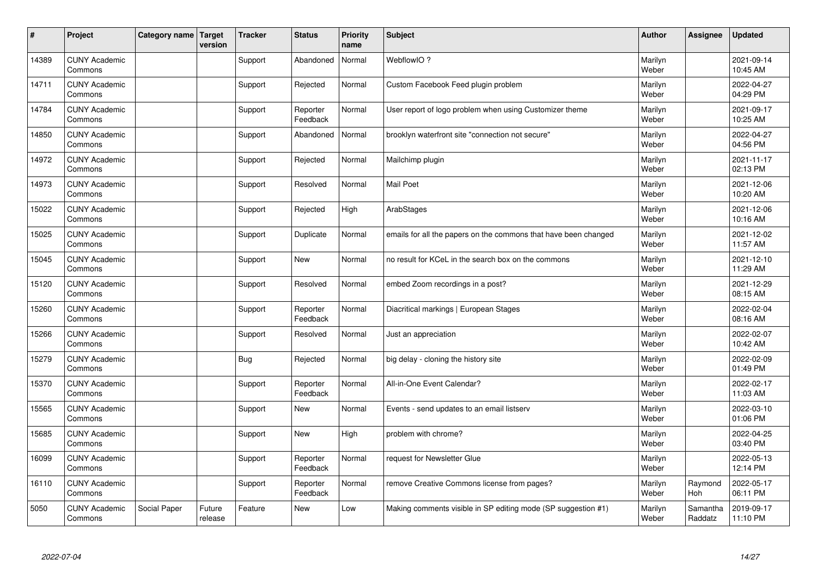| #     | Project                         | Category name Target | version           | <b>Tracker</b> | <b>Status</b>        | <b>Priority</b><br>name | <b>Subject</b>                                                  | <b>Author</b>    | Assignee            | <b>Updated</b>         |
|-------|---------------------------------|----------------------|-------------------|----------------|----------------------|-------------------------|-----------------------------------------------------------------|------------------|---------------------|------------------------|
| 14389 | <b>CUNY Academic</b><br>Commons |                      |                   | Support        | Abandoned            | Normal                  | WebflowIO?                                                      | Marilyn<br>Weber |                     | 2021-09-14<br>10:45 AM |
| 14711 | <b>CUNY Academic</b><br>Commons |                      |                   | Support        | Rejected             | Normal                  | Custom Facebook Feed plugin problem                             | Marilyn<br>Weber |                     | 2022-04-27<br>04:29 PM |
| 14784 | <b>CUNY Academic</b><br>Commons |                      |                   | Support        | Reporter<br>Feedback | Normal                  | User report of logo problem when using Customizer theme         | Marilyn<br>Weber |                     | 2021-09-17<br>10:25 AM |
| 14850 | <b>CUNY Academic</b><br>Commons |                      |                   | Support        | Abandoned            | Normal                  | brooklyn waterfront site "connection not secure"                | Marilyn<br>Weber |                     | 2022-04-27<br>04:56 PM |
| 14972 | <b>CUNY Academic</b><br>Commons |                      |                   | Support        | Rejected             | Normal                  | Mailchimp plugin                                                | Marilyn<br>Weber |                     | 2021-11-17<br>02:13 PM |
| 14973 | <b>CUNY Academic</b><br>Commons |                      |                   | Support        | Resolved             | Normal                  | Mail Poet                                                       | Marilyn<br>Weber |                     | 2021-12-06<br>10:20 AM |
| 15022 | <b>CUNY Academic</b><br>Commons |                      |                   | Support        | Rejected             | High                    | ArabStages                                                      | Marilyn<br>Weber |                     | 2021-12-06<br>10:16 AM |
| 15025 | <b>CUNY Academic</b><br>Commons |                      |                   | Support        | Duplicate            | Normal                  | emails for all the papers on the commons that have been changed | Marilyn<br>Weber |                     | 2021-12-02<br>11:57 AM |
| 15045 | <b>CUNY Academic</b><br>Commons |                      |                   | Support        | New                  | Normal                  | no result for KCeL in the search box on the commons             | Marilyn<br>Weber |                     | 2021-12-10<br>11:29 AM |
| 15120 | <b>CUNY Academic</b><br>Commons |                      |                   | Support        | Resolved             | Normal                  | embed Zoom recordings in a post?                                | Marilyn<br>Weber |                     | 2021-12-29<br>08:15 AM |
| 15260 | <b>CUNY Academic</b><br>Commons |                      |                   | Support        | Reporter<br>Feedback | Normal                  | Diacritical markings   European Stages                          | Marilyn<br>Weber |                     | 2022-02-04<br>08:16 AM |
| 15266 | <b>CUNY Academic</b><br>Commons |                      |                   | Support        | Resolved             | Normal                  | Just an appreciation                                            | Marilyn<br>Weber |                     | 2022-02-07<br>10:42 AM |
| 15279 | <b>CUNY Academic</b><br>Commons |                      |                   | <b>Bug</b>     | Rejected             | Normal                  | big delay - cloning the history site                            | Marilyn<br>Weber |                     | 2022-02-09<br>01:49 PM |
| 15370 | <b>CUNY Academic</b><br>Commons |                      |                   | Support        | Reporter<br>Feedback | Normal                  | All-in-One Event Calendar?                                      | Marilyn<br>Weber |                     | 2022-02-17<br>11:03 AM |
| 15565 | <b>CUNY Academic</b><br>Commons |                      |                   | Support        | <b>New</b>           | Normal                  | Events - send updates to an email listserv                      | Marilyn<br>Weber |                     | 2022-03-10<br>01:06 PM |
| 15685 | <b>CUNY Academic</b><br>Commons |                      |                   | Support        | <b>New</b>           | High                    | problem with chrome?                                            | Marilyn<br>Weber |                     | 2022-04-25<br>03:40 PM |
| 16099 | <b>CUNY Academic</b><br>Commons |                      |                   | Support        | Reporter<br>Feedback | Normal                  | request for Newsletter Glue                                     | Marilyn<br>Weber |                     | 2022-05-13<br>12:14 PM |
| 16110 | <b>CUNY Academic</b><br>Commons |                      |                   | Support        | Reporter<br>Feedback | Normal                  | remove Creative Commons license from pages?                     | Marilyn<br>Weber | Raymond<br>Hoh      | 2022-05-17<br>06:11 PM |
| 5050  | <b>CUNY Academic</b><br>Commons | Social Paper         | Future<br>release | Feature        | <b>New</b>           | Low                     | Making comments visible in SP editing mode (SP suggestion #1)   | Marilyn<br>Weber | Samantha<br>Raddatz | 2019-09-17<br>11:10 PM |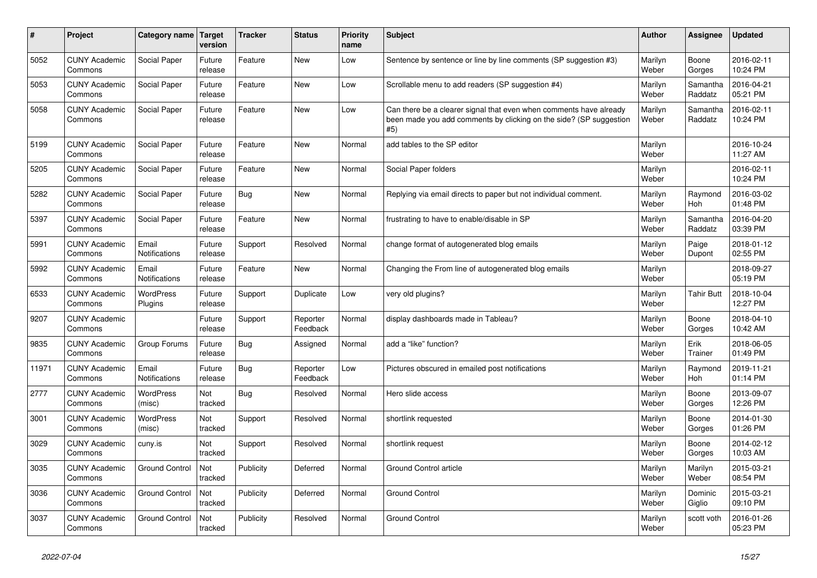| #     | Project                         | Category name Target       | version           | <b>Tracker</b> | <b>Status</b>        | <b>Priority</b><br>name | <b>Subject</b>                                                                                                                                  | <b>Author</b>    | Assignee              | <b>Updated</b>         |
|-------|---------------------------------|----------------------------|-------------------|----------------|----------------------|-------------------------|-------------------------------------------------------------------------------------------------------------------------------------------------|------------------|-----------------------|------------------------|
| 5052  | <b>CUNY Academic</b><br>Commons | Social Paper               | Future<br>release | Feature        | <b>New</b>           | Low                     | Sentence by sentence or line by line comments (SP suggestion #3)                                                                                | Marilyn<br>Weber | Boone<br>Gorges       | 2016-02-11<br>10:24 PM |
| 5053  | <b>CUNY Academic</b><br>Commons | Social Paper               | Future<br>release | Feature        | <b>New</b>           | Low                     | Scrollable menu to add readers (SP suggestion #4)                                                                                               | Marilyn<br>Weber | Samantha<br>Raddatz   | 2016-04-21<br>05:21 PM |
| 5058  | <b>CUNY Academic</b><br>Commons | Social Paper               | Future<br>release | Feature        | <b>New</b>           | Low                     | Can there be a clearer signal that even when comments have already<br>been made you add comments by clicking on the side? (SP suggestion<br>#5) | Marilyn<br>Weber | Samantha<br>Raddatz   | 2016-02-11<br>10:24 PM |
| 5199  | <b>CUNY Academic</b><br>Commons | Social Paper               | Future<br>release | Feature        | <b>New</b>           | Normal                  | add tables to the SP editor                                                                                                                     | Marilyn<br>Weber |                       | 2016-10-24<br>11:27 AM |
| 5205  | <b>CUNY Academic</b><br>Commons | Social Paper               | Future<br>release | Feature        | <b>New</b>           | Normal                  | Social Paper folders                                                                                                                            | Marilyn<br>Weber |                       | 2016-02-11<br>10:24 PM |
| 5282  | <b>CUNY Academic</b><br>Commons | Social Paper               | Future<br>release | Bug            | <b>New</b>           | Normal                  | Replying via email directs to paper but not individual comment.                                                                                 | Marilyn<br>Weber | Raymond<br><b>Hoh</b> | 2016-03-02<br>01:48 PM |
| 5397  | <b>CUNY Academic</b><br>Commons | Social Paper               | Future<br>release | Feature        | New                  | Normal                  | frustrating to have to enable/disable in SP                                                                                                     | Marilyn<br>Weber | Samantha<br>Raddatz   | 2016-04-20<br>03:39 PM |
| 5991  | <b>CUNY Academic</b><br>Commons | Email<br>Notifications     | Future<br>release | Support        | Resolved             | Normal                  | change format of autogenerated blog emails                                                                                                      | Marilyn<br>Weber | Paige<br>Dupont       | 2018-01-12<br>02:55 PM |
| 5992  | <b>CUNY Academic</b><br>Commons | Email<br>Notifications     | Future<br>release | Feature        | <b>New</b>           | Normal                  | Changing the From line of autogenerated blog emails                                                                                             | Marilyn<br>Weber |                       | 2018-09-27<br>05:19 PM |
| 6533  | <b>CUNY Academic</b><br>Commons | WordPress<br>Plugins       | Future<br>release | Support        | Duplicate            | Low                     | very old plugins?                                                                                                                               | Marilyn<br>Weber | <b>Tahir Butt</b>     | 2018-10-04<br>12:27 PM |
| 9207  | <b>CUNY Academic</b><br>Commons |                            | Future<br>release | Support        | Reporter<br>Feedback | Normal                  | display dashboards made in Tableau?                                                                                                             | Marilyn<br>Weber | Boone<br>Gorges       | 2018-04-10<br>10:42 AM |
| 9835  | <b>CUNY Academic</b><br>Commons | Group Forums               | Future<br>release | Bug            | Assigned             | Normal                  | add a "like" function?                                                                                                                          | Marilyn<br>Weber | Erik<br>Trainer       | 2018-06-05<br>01:49 PM |
| 11971 | <b>CUNY Academic</b><br>Commons | Email<br>Notifications     | Future<br>release | <b>Bug</b>     | Reporter<br>Feedback | Low                     | Pictures obscured in emailed post notifications                                                                                                 | Marilyn<br>Weber | Raymond<br>Hoh        | 2019-11-21<br>01:14 PM |
| 2777  | <b>CUNY Academic</b><br>Commons | <b>WordPress</b><br>(misc) | Not<br>tracked    | <b>Bug</b>     | Resolved             | Normal                  | Hero slide access                                                                                                                               | Marilyn<br>Weber | Boone<br>Gorges       | 2013-09-07<br>12:26 PM |
| 3001  | <b>CUNY Academic</b><br>Commons | <b>WordPress</b><br>(misc) | Not<br>tracked    | Support        | Resolved             | Normal                  | shortlink requested                                                                                                                             | Marilyn<br>Weber | Boone<br>Gorges       | 2014-01-30<br>01:26 PM |
| 3029  | <b>CUNY Academic</b><br>Commons | cuny.is                    | Not<br>tracked    | Support        | Resolved             | Normal                  | shortlink request                                                                                                                               | Marilyn<br>Weber | Boone<br>Gorges       | 2014-02-12<br>10:03 AM |
| 3035  | <b>CUNY Academic</b><br>Commons | <b>Ground Control</b>      | Not<br>tracked    | Publicity      | Deferred             | Normal                  | Ground Control article                                                                                                                          | Marilyn<br>Weber | Marilyn<br>Weber      | 2015-03-21<br>08:54 PM |
| 3036  | <b>CUNY Academic</b><br>Commons | <b>Ground Control</b>      | Not<br>tracked    | Publicity      | Deferred             | Normal                  | <b>Ground Control</b>                                                                                                                           | Marilyn<br>Weber | Dominic<br>Giglio     | 2015-03-21<br>09:10 PM |
| 3037  | <b>CUNY Academic</b><br>Commons | <b>Ground Control</b>      | Not<br>tracked    | Publicity      | Resolved             | Normal                  | <b>Ground Control</b>                                                                                                                           | Marilyn<br>Weber | scott voth            | 2016-01-26<br>05:23 PM |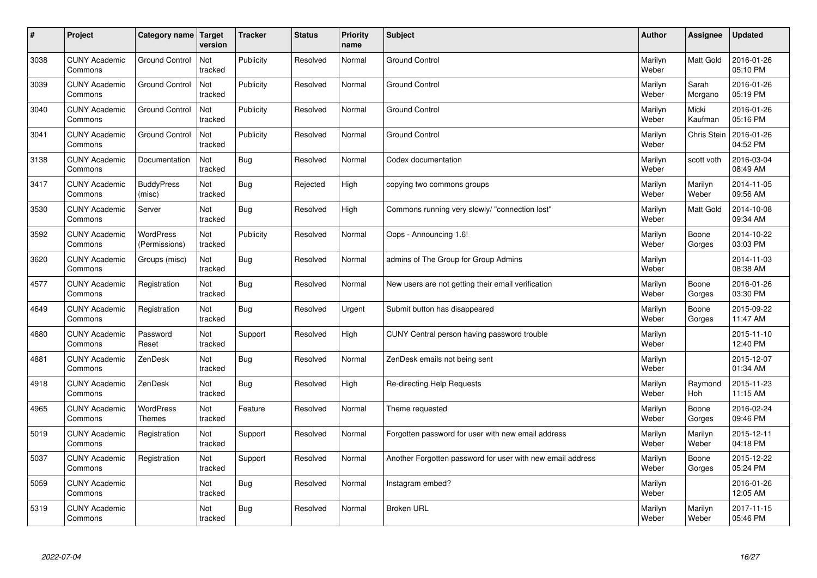| $\vert$ # | Project                         | Category name                     | <b>Target</b><br>version | <b>Tracker</b> | <b>Status</b> | <b>Priority</b><br>name | <b>Subject</b>                                             | <b>Author</b>    | <b>Assignee</b>       | <b>Updated</b>         |
|-----------|---------------------------------|-----------------------------------|--------------------------|----------------|---------------|-------------------------|------------------------------------------------------------|------------------|-----------------------|------------------------|
| 3038      | <b>CUNY Academic</b><br>Commons | <b>Ground Control</b>             | Not<br>tracked           | Publicity      | Resolved      | Normal                  | <b>Ground Control</b>                                      | Marilyn<br>Weber | <b>Matt Gold</b>      | 2016-01-26<br>05:10 PM |
| 3039      | <b>CUNY Academic</b><br>Commons | <b>Ground Control</b>             | Not<br>tracked           | Publicity      | Resolved      | Normal                  | <b>Ground Control</b>                                      | Marilyn<br>Weber | Sarah<br>Morgano      | 2016-01-26<br>05:19 PM |
| 3040      | <b>CUNY Academic</b><br>Commons | <b>Ground Control</b>             | Not<br>tracked           | Publicity      | Resolved      | Normal                  | <b>Ground Control</b>                                      | Marilyn<br>Weber | Micki<br>Kaufman      | 2016-01-26<br>05:16 PM |
| 3041      | <b>CUNY Academic</b><br>Commons | <b>Ground Control</b>             | Not<br>tracked           | Publicity      | Resolved      | Normal                  | <b>Ground Control</b>                                      | Marilyn<br>Weber | Chris Stein           | 2016-01-26<br>04:52 PM |
| 3138      | <b>CUNY Academic</b><br>Commons | Documentation                     | Not<br>tracked           | Bug            | Resolved      | Normal                  | Codex documentation                                        | Marilyn<br>Weber | scott voth            | 2016-03-04<br>08:49 AM |
| 3417      | <b>CUNY Academic</b><br>Commons | <b>BuddyPress</b><br>(misc)       | Not<br>tracked           | Bug            | Rejected      | High                    | copying two commons groups                                 | Marilyn<br>Weber | Marilyn<br>Weber      | 2014-11-05<br>09:56 AM |
| 3530      | <b>CUNY Academic</b><br>Commons | Server                            | Not<br>tracked           | <b>Bug</b>     | Resolved      | High                    | Commons running very slowly/ "connection lost"             | Marilyn<br>Weber | Matt Gold             | 2014-10-08<br>09:34 AM |
| 3592      | <b>CUNY Academic</b><br>Commons | <b>WordPress</b><br>(Permissions) | Not<br>tracked           | Publicity      | Resolved      | Normal                  | Oops - Announcing 1.6!                                     | Marilyn<br>Weber | Boone<br>Gorges       | 2014-10-22<br>03:03 PM |
| 3620      | <b>CUNY Academic</b><br>Commons | Groups (misc)                     | Not<br>tracked           | Bug            | Resolved      | Normal                  | admins of The Group for Group Admins                       | Marilyn<br>Weber |                       | 2014-11-03<br>08:38 AM |
| 4577      | <b>CUNY Academic</b><br>Commons | Registration                      | Not<br>tracked           | Bug            | Resolved      | Normal                  | New users are not getting their email verification         | Marilyn<br>Weber | Boone<br>Gorges       | 2016-01-26<br>03:30 PM |
| 4649      | <b>CUNY Academic</b><br>Commons | Registration                      | Not<br>tracked           | Bug            | Resolved      | Urgent                  | Submit button has disappeared                              | Marilyn<br>Weber | Boone<br>Gorges       | 2015-09-22<br>11:47 AM |
| 4880      | <b>CUNY Academic</b><br>Commons | Password<br>Reset                 | Not<br>tracked           | Support        | Resolved      | High                    | CUNY Central person having password trouble                | Marilyn<br>Weber |                       | 2015-11-10<br>12:40 PM |
| 4881      | <b>CUNY Academic</b><br>Commons | ZenDesk                           | Not<br>tracked           | <b>Bug</b>     | Resolved      | Normal                  | ZenDesk emails not being sent                              | Marilyn<br>Weber |                       | 2015-12-07<br>01:34 AM |
| 4918      | <b>CUNY Academic</b><br>Commons | ZenDesk                           | Not<br>tracked           | <b>Bug</b>     | Resolved      | High                    | Re-directing Help Requests                                 | Marilyn<br>Weber | Raymond<br><b>Hoh</b> | 2015-11-23<br>11:15 AM |
| 4965      | <b>CUNY Academic</b><br>Commons | <b>WordPress</b><br>Themes        | Not<br>tracked           | Feature        | Resolved      | Normal                  | Theme requested                                            | Marilyn<br>Weber | Boone<br>Gorges       | 2016-02-24<br>09:46 PM |
| 5019      | <b>CUNY Academic</b><br>Commons | Registration                      | Not<br>tracked           | Support        | Resolved      | Normal                  | Forgotten password for user with new email address         | Marilyn<br>Weber | Marilyn<br>Weber      | 2015-12-11<br>04:18 PM |
| 5037      | <b>CUNY Academic</b><br>Commons | Registration                      | Not<br>tracked           | Support        | Resolved      | Normal                  | Another Forgotten password for user with new email address | Marilyn<br>Weber | Boone<br>Gorges       | 2015-12-22<br>05:24 PM |
| 5059      | <b>CUNY Academic</b><br>Commons |                                   | Not<br>tracked           | <b>Bug</b>     | Resolved      | Normal                  | Instagram embed?                                           | Marilyn<br>Weber |                       | 2016-01-26<br>12:05 AM |
| 5319      | <b>CUNY Academic</b><br>Commons |                                   | Not<br>tracked           | Bug            | Resolved      | Normal                  | <b>Broken URL</b>                                          | Marilyn<br>Weber | Marilyn<br>Weber      | 2017-11-15<br>05:46 PM |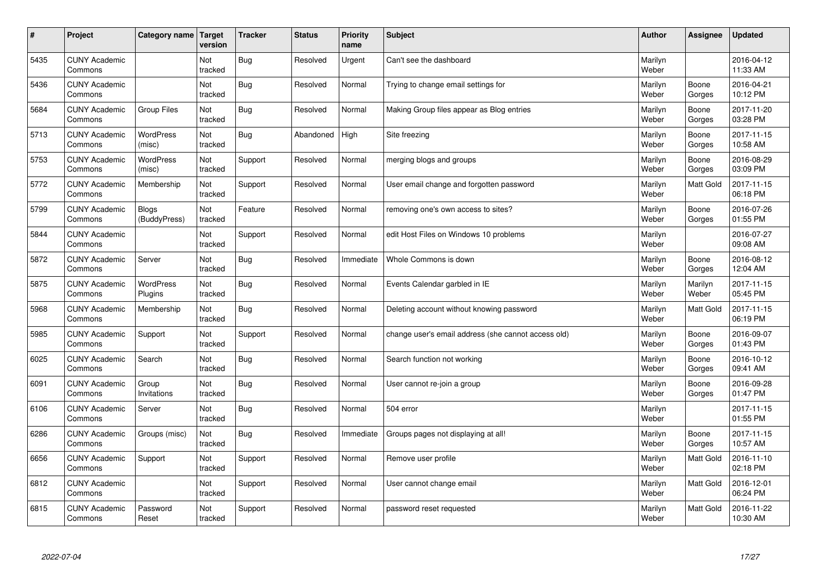| $\vert$ # | Project                         | Category name                | <b>Target</b><br>version | <b>Tracker</b> | <b>Status</b> | <b>Priority</b><br>name | <b>Subject</b>                                      | <b>Author</b>    | <b>Assignee</b>  | <b>Updated</b>         |
|-----------|---------------------------------|------------------------------|--------------------------|----------------|---------------|-------------------------|-----------------------------------------------------|------------------|------------------|------------------------|
| 5435      | <b>CUNY Academic</b><br>Commons |                              | Not<br>tracked           | Bug            | Resolved      | Urgent                  | Can't see the dashboard                             | Marilyn<br>Weber |                  | 2016-04-12<br>11:33 AM |
| 5436      | <b>CUNY Academic</b><br>Commons |                              | Not<br>tracked           | Bug            | Resolved      | Normal                  | Trying to change email settings for                 | Marilyn<br>Weber | Boone<br>Gorges  | 2016-04-21<br>10:12 PM |
| 5684      | <b>CUNY Academic</b><br>Commons | <b>Group Files</b>           | Not<br>tracked           | <b>Bug</b>     | Resolved      | Normal                  | Making Group files appear as Blog entries           | Marilyn<br>Weber | Boone<br>Gorges  | 2017-11-20<br>03:28 PM |
| 5713      | <b>CUNY Academic</b><br>Commons | <b>WordPress</b><br>(misc)   | Not<br>tracked           | <b>Bug</b>     | Abandoned     | High                    | Site freezing                                       | Marilyn<br>Weber | Boone<br>Gorges  | 2017-11-15<br>10:58 AM |
| 5753      | <b>CUNY Academic</b><br>Commons | <b>WordPress</b><br>(misc)   | Not<br>tracked           | Support        | Resolved      | Normal                  | merging blogs and groups                            | Marilyn<br>Weber | Boone<br>Gorges  | 2016-08-29<br>03:09 PM |
| 5772      | <b>CUNY Academic</b><br>Commons | Membership                   | Not<br>tracked           | Support        | Resolved      | Normal                  | User email change and forgotten password            | Marilyn<br>Weber | Matt Gold        | 2017-11-15<br>06:18 PM |
| 5799      | <b>CUNY Academic</b><br>Commons | <b>Blogs</b><br>(BuddyPress) | Not<br>tracked           | Feature        | Resolved      | Normal                  | removing one's own access to sites?                 | Marilyn<br>Weber | Boone<br>Gorges  | 2016-07-26<br>01:55 PM |
| 5844      | <b>CUNY Academic</b><br>Commons |                              | Not<br>tracked           | Support        | Resolved      | Normal                  | edit Host Files on Windows 10 problems              | Marilyn<br>Weber |                  | 2016-07-27<br>09:08 AM |
| 5872      | <b>CUNY Academic</b><br>Commons | Server                       | Not<br>tracked           | Bug            | Resolved      | Immediate               | Whole Commons is down                               | Marilyn<br>Weber | Boone<br>Gorges  | 2016-08-12<br>12:04 AM |
| 5875      | <b>CUNY Academic</b><br>Commons | WordPress<br>Plugins         | Not<br>tracked           | Bug            | Resolved      | Normal                  | Events Calendar garbled in IE                       | Marilyn<br>Weber | Marilyn<br>Weber | 2017-11-15<br>05:45 PM |
| 5968      | <b>CUNY Academic</b><br>Commons | Membership                   | Not<br>tracked           | Bug            | Resolved      | Normal                  | Deleting account without knowing password           | Marilyn<br>Weber | Matt Gold        | 2017-11-15<br>06:19 PM |
| 5985      | <b>CUNY Academic</b><br>Commons | Support                      | Not<br>tracked           | Support        | Resolved      | Normal                  | change user's email address (she cannot access old) | Marilyn<br>Weber | Boone<br>Gorges  | 2016-09-07<br>01:43 PM |
| 6025      | <b>CUNY Academic</b><br>Commons | Search                       | Not<br>tracked           | <b>Bug</b>     | Resolved      | Normal                  | Search function not working                         | Marilyn<br>Weber | Boone<br>Gorges  | 2016-10-12<br>09:41 AM |
| 6091      | <b>CUNY Academic</b><br>Commons | Group<br>Invitations         | Not<br>tracked           | <b>Bug</b>     | Resolved      | Normal                  | User cannot re-join a group                         | Marilyn<br>Weber | Boone<br>Gorges  | 2016-09-28<br>01:47 PM |
| 6106      | <b>CUNY Academic</b><br>Commons | Server                       | Not<br>tracked           | Bug            | Resolved      | Normal                  | 504 error                                           | Marilyn<br>Weber |                  | 2017-11-15<br>01:55 PM |
| 6286      | <b>CUNY Academic</b><br>Commons | Groups (misc)                | Not<br>tracked           | Bug            | Resolved      | Immediate               | Groups pages not displaying at all!                 | Marilyn<br>Weber | Boone<br>Gorges  | 2017-11-15<br>10:57 AM |
| 6656      | <b>CUNY Academic</b><br>Commons | Support                      | Not<br>tracked           | Support        | Resolved      | Normal                  | Remove user profile                                 | Marilyn<br>Weber | Matt Gold        | 2016-11-10<br>02:18 PM |
| 6812      | <b>CUNY Academic</b><br>Commons |                              | Not<br>tracked           | Support        | Resolved      | Normal                  | User cannot change email                            | Marilyn<br>Weber | Matt Gold        | 2016-12-01<br>06:24 PM |
| 6815      | <b>CUNY Academic</b><br>Commons | Password<br>Reset            | Not<br>tracked           | Support        | Resolved      | Normal                  | password reset requested                            | Marilyn<br>Weber | Matt Gold        | 2016-11-22<br>10:30 AM |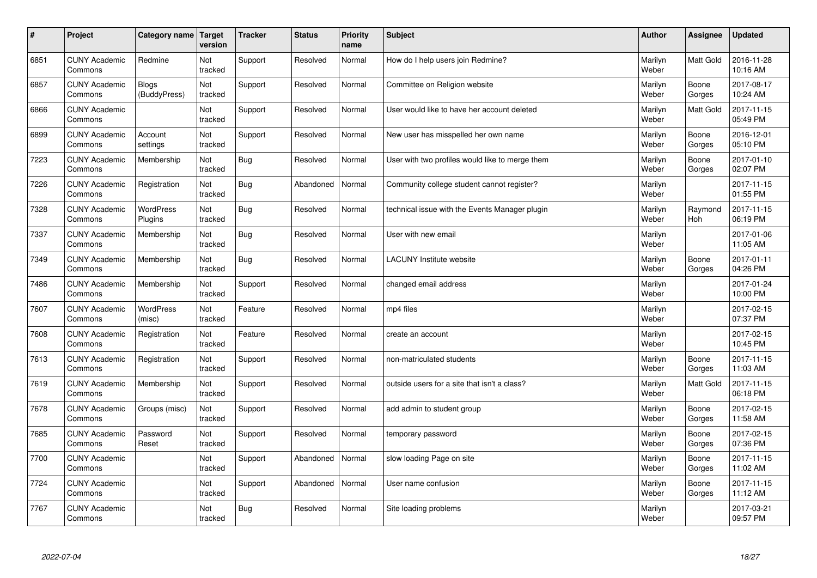| $\vert$ # | Project                         | Category name                | <b>Target</b><br>version | <b>Tracker</b> | <b>Status</b> | <b>Priority</b><br>name | <b>Subject</b>                                  | <b>Author</b>    | <b>Assignee</b>       | <b>Updated</b>         |
|-----------|---------------------------------|------------------------------|--------------------------|----------------|---------------|-------------------------|-------------------------------------------------|------------------|-----------------------|------------------------|
| 6851      | <b>CUNY Academic</b><br>Commons | Redmine                      | Not<br>tracked           | Support        | Resolved      | Normal                  | How do I help users join Redmine?               | Marilyn<br>Weber | <b>Matt Gold</b>      | 2016-11-28<br>10:16 AM |
| 6857      | <b>CUNY Academic</b><br>Commons | <b>Blogs</b><br>(BuddyPress) | Not<br>tracked           | Support        | Resolved      | Normal                  | Committee on Religion website                   | Marilyn<br>Weber | Boone<br>Gorges       | 2017-08-17<br>10:24 AM |
| 6866      | <b>CUNY Academic</b><br>Commons |                              | Not<br>tracked           | Support        | Resolved      | Normal                  | User would like to have her account deleted     | Marilyn<br>Weber | Matt Gold             | 2017-11-15<br>05:49 PM |
| 6899      | <b>CUNY Academic</b><br>Commons | Account<br>settings          | Not<br>tracked           | Support        | Resolved      | Normal                  | New user has misspelled her own name            | Marilyn<br>Weber | Boone<br>Gorges       | 2016-12-01<br>05:10 PM |
| 7223      | <b>CUNY Academic</b><br>Commons | Membership                   | Not<br>tracked           | Bug            | Resolved      | Normal                  | User with two profiles would like to merge them | Marilyn<br>Weber | Boone<br>Gorges       | 2017-01-10<br>02:07 PM |
| 7226      | <b>CUNY Academic</b><br>Commons | Registration                 | Not<br>tracked           | Bug            | Abandoned     | Normal                  | Community college student cannot register?      | Marilyn<br>Weber |                       | 2017-11-15<br>01:55 PM |
| 7328      | <b>CUNY Academic</b><br>Commons | WordPress<br>Plugins         | Not<br>tracked           | <b>Bug</b>     | Resolved      | Normal                  | technical issue with the Events Manager plugin  | Marilyn<br>Weber | Raymond<br><b>Hoh</b> | 2017-11-15<br>06:19 PM |
| 7337      | <b>CUNY Academic</b><br>Commons | Membership                   | Not<br>tracked           | Bug            | Resolved      | Normal                  | User with new email                             | Marilyn<br>Weber |                       | 2017-01-06<br>11:05 AM |
| 7349      | <b>CUNY Academic</b><br>Commons | Membership                   | Not<br>tracked           | Bug            | Resolved      | Normal                  | <b>LACUNY</b> Institute website                 | Marilyn<br>Weber | Boone<br>Gorges       | 2017-01-11<br>04:26 PM |
| 7486      | <b>CUNY Academic</b><br>Commons | Membership                   | Not<br>tracked           | Support        | Resolved      | Normal                  | changed email address                           | Marilyn<br>Weber |                       | 2017-01-24<br>10:00 PM |
| 7607      | <b>CUNY Academic</b><br>Commons | <b>WordPress</b><br>(misc)   | Not<br>tracked           | Feature        | Resolved      | Normal                  | mp4 files                                       | Marilyn<br>Weber |                       | 2017-02-15<br>07:37 PM |
| 7608      | <b>CUNY Academic</b><br>Commons | Registration                 | Not<br>tracked           | Feature        | Resolved      | Normal                  | create an account                               | Marilyn<br>Weber |                       | 2017-02-15<br>10:45 PM |
| 7613      | <b>CUNY Academic</b><br>Commons | Registration                 | Not<br>tracked           | Support        | Resolved      | Normal                  | non-matriculated students                       | Marilyn<br>Weber | Boone<br>Gorges       | 2017-11-15<br>11:03 AM |
| 7619      | <b>CUNY Academic</b><br>Commons | Membership                   | Not<br>tracked           | Support        | Resolved      | Normal                  | outside users for a site that isn't a class?    | Marilyn<br>Weber | <b>Matt Gold</b>      | 2017-11-15<br>06:18 PM |
| 7678      | <b>CUNY Academic</b><br>Commons | Groups (misc)                | Not<br>tracked           | Support        | Resolved      | Normal                  | add admin to student group                      | Marilyn<br>Weber | Boone<br>Gorges       | 2017-02-15<br>11:58 AM |
| 7685      | <b>CUNY Academic</b><br>Commons | Password<br>Reset            | Not<br>tracked           | Support        | Resolved      | Normal                  | temporary password                              | Marilyn<br>Weber | Boone<br>Gorges       | 2017-02-15<br>07:36 PM |
| 7700      | <b>CUNY Academic</b><br>Commons |                              | Not<br>tracked           | Support        | Abandoned     | Normal                  | slow loading Page on site                       | Marilyn<br>Weber | Boone<br>Gorges       | 2017-11-15<br>11:02 AM |
| 7724      | <b>CUNY Academic</b><br>Commons |                              | Not<br>tracked           | Support        | Abandoned     | Normal                  | User name confusion                             | Marilyn<br>Weber | Boone<br>Gorges       | 2017-11-15<br>11:12 AM |
| 7767      | <b>CUNY Academic</b><br>Commons |                              | Not<br>tracked           | Bug            | Resolved      | Normal                  | Site loading problems                           | Marilyn<br>Weber |                       | 2017-03-21<br>09:57 PM |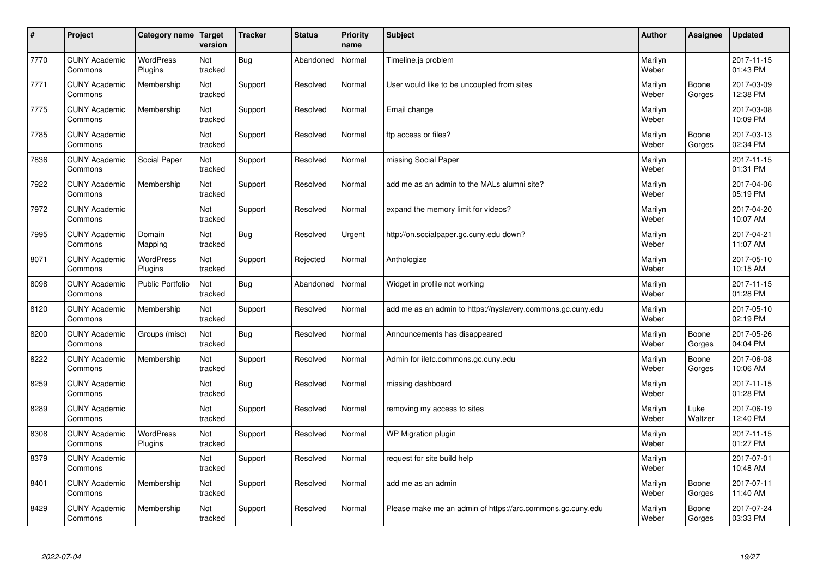| $\sharp$ | Project                         | Category name   Target      | version        | <b>Tracker</b> | <b>Status</b> | <b>Priority</b><br>name | <b>Subject</b>                                              | <b>Author</b>    | Assignee        | Updated                |
|----------|---------------------------------|-----------------------------|----------------|----------------|---------------|-------------------------|-------------------------------------------------------------|------------------|-----------------|------------------------|
| 7770     | <b>CUNY Academic</b><br>Commons | <b>WordPress</b><br>Plugins | Not<br>tracked | Bug            | Abandoned     | Normal                  | Timeline.js problem                                         | Marilyn<br>Weber |                 | 2017-11-15<br>01:43 PM |
| 7771     | <b>CUNY Academic</b><br>Commons | Membership                  | Not<br>tracked | Support        | Resolved      | Normal                  | User would like to be uncoupled from sites                  | Marilyn<br>Weber | Boone<br>Gorges | 2017-03-09<br>12:38 PM |
| 7775     | <b>CUNY Academic</b><br>Commons | Membership                  | Not<br>tracked | Support        | Resolved      | Normal                  | Email change                                                | Marilyn<br>Weber |                 | 2017-03-08<br>10:09 PM |
| 7785     | <b>CUNY Academic</b><br>Commons |                             | Not<br>tracked | Support        | Resolved      | Normal                  | ftp access or files?                                        | Marilyn<br>Weber | Boone<br>Gorges | 2017-03-13<br>02:34 PM |
| 7836     | <b>CUNY Academic</b><br>Commons | Social Paper                | Not<br>tracked | Support        | Resolved      | Normal                  | missing Social Paper                                        | Marilyn<br>Weber |                 | 2017-11-15<br>01:31 PM |
| 7922     | <b>CUNY Academic</b><br>Commons | Membership                  | Not<br>tracked | Support        | Resolved      | Normal                  | add me as an admin to the MALs alumni site?                 | Marilyn<br>Weber |                 | 2017-04-06<br>05:19 PM |
| 7972     | <b>CUNY Academic</b><br>Commons |                             | Not<br>tracked | Support        | Resolved      | Normal                  | expand the memory limit for videos?                         | Marilyn<br>Weber |                 | 2017-04-20<br>10:07 AM |
| 7995     | <b>CUNY Academic</b><br>Commons | Domain<br>Mapping           | Not<br>tracked | Bug            | Resolved      | Urgent                  | http://on.socialpaper.gc.cuny.edu down?                     | Marilyn<br>Weber |                 | 2017-04-21<br>11:07 AM |
| 8071     | <b>CUNY Academic</b><br>Commons | <b>WordPress</b><br>Plugins | Not<br>tracked | Support        | Rejected      | Normal                  | Anthologize                                                 | Marilyn<br>Weber |                 | 2017-05-10<br>10:15 AM |
| 8098     | <b>CUNY Academic</b><br>Commons | <b>Public Portfolio</b>     | Not<br>tracked | Bug            | Abandoned     | Normal                  | Widget in profile not working                               | Marilyn<br>Weber |                 | 2017-11-15<br>01:28 PM |
| 8120     | <b>CUNY Academic</b><br>Commons | Membership                  | Not<br>tracked | Support        | Resolved      | Normal                  | add me as an admin to https://nyslavery.commons.gc.cuny.edu | Marilyn<br>Weber |                 | 2017-05-10<br>02:19 PM |
| 8200     | <b>CUNY Academic</b><br>Commons | Groups (misc)               | Not<br>tracked | <b>Bug</b>     | Resolved      | Normal                  | Announcements has disappeared                               | Marilyn<br>Weber | Boone<br>Gorges | 2017-05-26<br>04:04 PM |
| 8222     | <b>CUNY Academic</b><br>Commons | Membership                  | Not<br>tracked | Support        | Resolved      | Normal                  | Admin for iletc.commons.gc.cuny.edu                         | Marilyn<br>Weber | Boone<br>Gorges | 2017-06-08<br>10:06 AM |
| 8259     | <b>CUNY Academic</b><br>Commons |                             | Not<br>tracked | Bug            | Resolved      | Normal                  | missing dashboard                                           | Marilyn<br>Weber |                 | 2017-11-15<br>01:28 PM |
| 8289     | <b>CUNY Academic</b><br>Commons |                             | Not<br>tracked | Support        | Resolved      | Normal                  | removing my access to sites                                 | Marilyn<br>Weber | Luke<br>Waltzer | 2017-06-19<br>12:40 PM |
| 8308     | <b>CUNY Academic</b><br>Commons | <b>WordPress</b><br>Plugins | Not<br>tracked | Support        | Resolved      | Normal                  | WP Migration plugin                                         | Marilyn<br>Weber |                 | 2017-11-15<br>01:27 PM |
| 8379     | <b>CUNY Academic</b><br>Commons |                             | Not<br>tracked | Support        | Resolved      | Normal                  | request for site build help                                 | Marilyn<br>Weber |                 | 2017-07-01<br>10:48 AM |
| 8401     | <b>CUNY Academic</b><br>Commons | Membership                  | Not<br>tracked | Support        | Resolved      | Normal                  | add me as an admin                                          | Marilyn<br>Weber | Boone<br>Gorges | 2017-07-11<br>11:40 AM |
| 8429     | <b>CUNY Academic</b><br>Commons | Membership                  | Not<br>tracked | Support        | Resolved      | Normal                  | Please make me an admin of https://arc.commons.gc.cuny.edu  | Marilyn<br>Weber | Boone<br>Gorges | 2017-07-24<br>03:33 PM |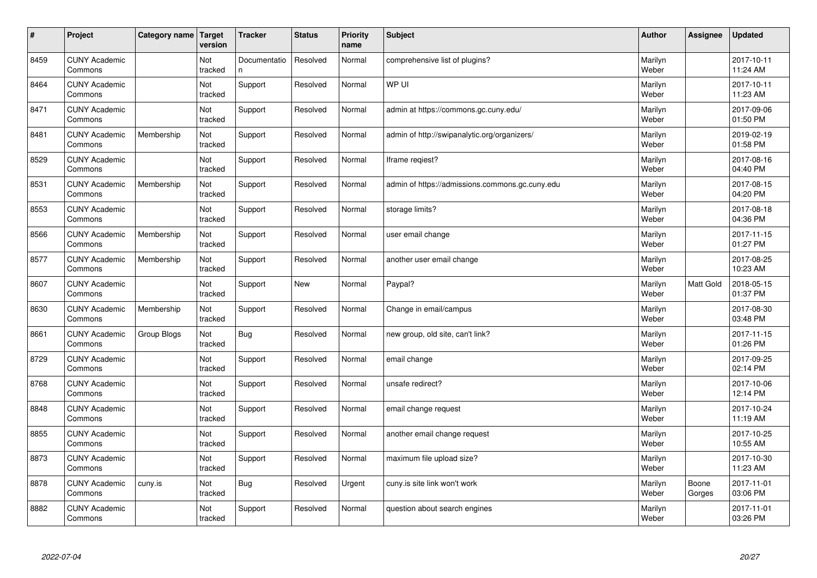| $\vert$ # | Project                         | Category name | Target<br>version | <b>Tracker</b>     | <b>Status</b> | <b>Priority</b><br>name | <b>Subject</b>                                  | <b>Author</b>    | Assignee        | <b>Updated</b>         |
|-----------|---------------------------------|---------------|-------------------|--------------------|---------------|-------------------------|-------------------------------------------------|------------------|-----------------|------------------------|
| 8459      | <b>CUNY Academic</b><br>Commons |               | Not<br>tracked    | Documentatio<br>n. | Resolved      | Normal                  | comprehensive list of plugins?                  | Marilyn<br>Weber |                 | 2017-10-11<br>11:24 AM |
| 8464      | <b>CUNY Academic</b><br>Commons |               | Not<br>tracked    | Support            | Resolved      | Normal                  | WP UI                                           | Marilyn<br>Weber |                 | 2017-10-11<br>11:23 AM |
| 8471      | <b>CUNY Academic</b><br>Commons |               | Not<br>tracked    | Support            | Resolved      | Normal                  | admin at https://commons.gc.cuny.edu/           | Marilyn<br>Weber |                 | 2017-09-06<br>01:50 PM |
| 8481      | <b>CUNY Academic</b><br>Commons | Membership    | Not<br>tracked    | Support            | Resolved      | Normal                  | admin of http://swipanalytic.org/organizers/    | Marilyn<br>Weber |                 | 2019-02-19<br>01:58 PM |
| 8529      | <b>CUNY Academic</b><br>Commons |               | Not<br>tracked    | Support            | Resolved      | Normal                  | Iframe regiest?                                 | Marilyn<br>Weber |                 | 2017-08-16<br>04:40 PM |
| 8531      | <b>CUNY Academic</b><br>Commons | Membership    | Not<br>tracked    | Support            | Resolved      | Normal                  | admin of https://admissions.commons.gc.cuny.edu | Marilyn<br>Weber |                 | 2017-08-15<br>04:20 PM |
| 8553      | <b>CUNY Academic</b><br>Commons |               | Not<br>tracked    | Support            | Resolved      | Normal                  | storage limits?                                 | Marilyn<br>Weber |                 | 2017-08-18<br>04:36 PM |
| 8566      | <b>CUNY Academic</b><br>Commons | Membership    | Not<br>tracked    | Support            | Resolved      | Normal                  | user email change                               | Marilyn<br>Weber |                 | 2017-11-15<br>01:27 PM |
| 8577      | <b>CUNY Academic</b><br>Commons | Membership    | Not<br>tracked    | Support            | Resolved      | Normal                  | another user email change                       | Marilyn<br>Weber |                 | 2017-08-25<br>10:23 AM |
| 8607      | <b>CUNY Academic</b><br>Commons |               | Not<br>tracked    | Support            | <b>New</b>    | Normal                  | Paypal?                                         | Marilyn<br>Weber | Matt Gold       | 2018-05-15<br>01:37 PM |
| 8630      | <b>CUNY Academic</b><br>Commons | Membership    | Not<br>tracked    | Support            | Resolved      | Normal                  | Change in email/campus                          | Marilyn<br>Weber |                 | 2017-08-30<br>03:48 PM |
| 8661      | <b>CUNY Academic</b><br>Commons | Group Blogs   | Not<br>tracked    | <b>Bug</b>         | Resolved      | Normal                  | new group, old site, can't link?                | Marilyn<br>Weber |                 | 2017-11-15<br>01:26 PM |
| 8729      | <b>CUNY Academic</b><br>Commons |               | Not<br>tracked    | Support            | Resolved      | Normal                  | email change                                    | Marilyn<br>Weber |                 | 2017-09-25<br>02:14 PM |
| 8768      | <b>CUNY Academic</b><br>Commons |               | Not<br>tracked    | Support            | Resolved      | Normal                  | unsafe redirect?                                | Marilyn<br>Weber |                 | 2017-10-06<br>12:14 PM |
| 8848      | <b>CUNY Academic</b><br>Commons |               | Not<br>tracked    | Support            | Resolved      | Normal                  | email change request                            | Marilyn<br>Weber |                 | 2017-10-24<br>11:19 AM |
| 8855      | <b>CUNY Academic</b><br>Commons |               | Not<br>tracked    | Support            | Resolved      | Normal                  | another email change request                    | Marilyn<br>Weber |                 | 2017-10-25<br>10:55 AM |
| 8873      | <b>CUNY Academic</b><br>Commons |               | Not<br>tracked    | Support            | Resolved      | Normal                  | maximum file upload size?                       | Marilyn<br>Weber |                 | 2017-10-30<br>11:23 AM |
| 8878      | <b>CUNY Academic</b><br>Commons | cuny.is       | Not<br>tracked    | <b>Bug</b>         | Resolved      | Urgent                  | cuny.is site link won't work                    | Marilyn<br>Weber | Boone<br>Gorges | 2017-11-01<br>03:06 PM |
| 8882      | <b>CUNY Academic</b><br>Commons |               | Not<br>tracked    | Support            | Resolved      | Normal                  | question about search engines                   | Marilyn<br>Weber |                 | 2017-11-01<br>03:26 PM |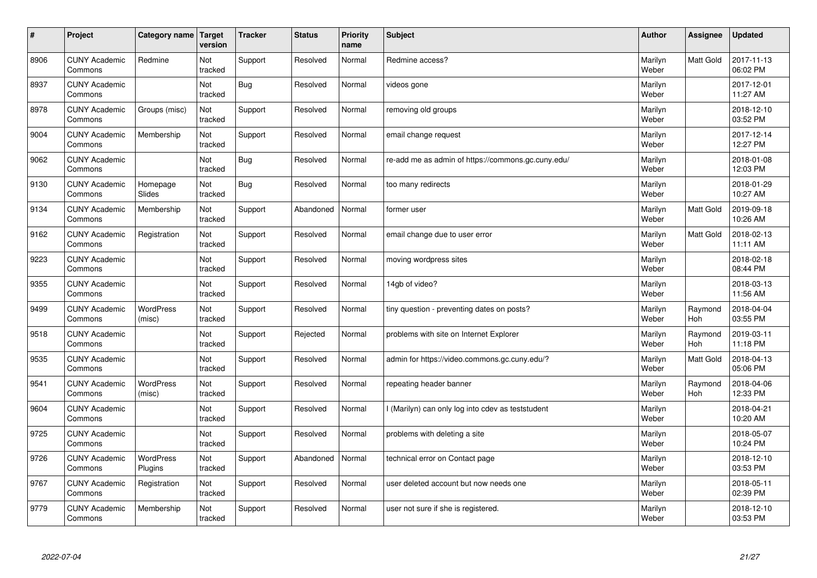| $\sharp$ | Project                         | Category name   Target     | version        | <b>Tracker</b> | <b>Status</b> | <b>Priority</b><br>name | <b>Subject</b>                                     | <b>Author</b>    | Assignee              | Updated                |
|----------|---------------------------------|----------------------------|----------------|----------------|---------------|-------------------------|----------------------------------------------------|------------------|-----------------------|------------------------|
| 8906     | <b>CUNY Academic</b><br>Commons | Redmine                    | Not<br>tracked | Support        | Resolved      | Normal                  | Redmine access?                                    | Marilyn<br>Weber | <b>Matt Gold</b>      | 2017-11-13<br>06:02 PM |
| 8937     | <b>CUNY Academic</b><br>Commons |                            | Not<br>tracked | Bug            | Resolved      | Normal                  | videos gone                                        | Marilyn<br>Weber |                       | 2017-12-01<br>11:27 AM |
| 8978     | <b>CUNY Academic</b><br>Commons | Groups (misc)              | Not<br>tracked | Support        | Resolved      | Normal                  | removing old groups                                | Marilyn<br>Weber |                       | 2018-12-10<br>03:52 PM |
| 9004     | <b>CUNY Academic</b><br>Commons | Membership                 | Not<br>tracked | Support        | Resolved      | Normal                  | email change request                               | Marilyn<br>Weber |                       | 2017-12-14<br>12:27 PM |
| 9062     | <b>CUNY Academic</b><br>Commons |                            | Not<br>tracked | Bug            | Resolved      | Normal                  | re-add me as admin of https://commons.gc.cuny.edu/ | Marilyn<br>Weber |                       | 2018-01-08<br>12:03 PM |
| 9130     | <b>CUNY Academic</b><br>Commons | Homepage<br>Slides         | Not<br>tracked | Bug            | Resolved      | Normal                  | too many redirects                                 | Marilyn<br>Weber |                       | 2018-01-29<br>10:27 AM |
| 9134     | <b>CUNY Academic</b><br>Commons | Membership                 | Not<br>tracked | Support        | Abandoned     | Normal                  | former user                                        | Marilyn<br>Weber | Matt Gold             | 2019-09-18<br>10:26 AM |
| 9162     | <b>CUNY Academic</b><br>Commons | Registration               | Not<br>tracked | Support        | Resolved      | Normal                  | email change due to user error                     | Marilyn<br>Weber | Matt Gold             | 2018-02-13<br>11:11 AM |
| 9223     | <b>CUNY Academic</b><br>Commons |                            | Not<br>tracked | Support        | Resolved      | Normal                  | moving wordpress sites                             | Marilyn<br>Weber |                       | 2018-02-18<br>08:44 PM |
| 9355     | <b>CUNY Academic</b><br>Commons |                            | Not<br>tracked | Support        | Resolved      | Normal                  | 14gb of video?                                     | Marilyn<br>Weber |                       | 2018-03-13<br>11:56 AM |
| 9499     | <b>CUNY Academic</b><br>Commons | WordPress<br>(misc)        | Not<br>tracked | Support        | Resolved      | Normal                  | tiny question - preventing dates on posts?         | Marilyn<br>Weber | Raymond<br>Hoh        | 2018-04-04<br>03:55 PM |
| 9518     | <b>CUNY Academic</b><br>Commons |                            | Not<br>tracked | Support        | Rejected      | Normal                  | problems with site on Internet Explorer            | Marilyn<br>Weber | Raymond<br>Hoh        | 2019-03-11<br>11:18 PM |
| 9535     | <b>CUNY Academic</b><br>Commons |                            | Not<br>tracked | Support        | Resolved      | Normal                  | admin for https://video.commons.gc.cuny.edu/?      | Marilyn<br>Weber | Matt Gold             | 2018-04-13<br>05:06 PM |
| 9541     | <b>CUNY Academic</b><br>Commons | <b>WordPress</b><br>(misc) | Not<br>tracked | Support        | Resolved      | Normal                  | repeating header banner                            | Marilyn<br>Weber | Raymond<br><b>Hoh</b> | 2018-04-06<br>12:33 PM |
| 9604     | <b>CUNY Academic</b><br>Commons |                            | Not<br>tracked | Support        | Resolved      | Normal                  | I (Marilyn) can only log into cdev as teststudent  | Marilyn<br>Weber |                       | 2018-04-21<br>10:20 AM |
| 9725     | <b>CUNY Academic</b><br>Commons |                            | Not<br>tracked | Support        | Resolved      | Normal                  | problems with deleting a site                      | Marilyn<br>Weber |                       | 2018-05-07<br>10:24 PM |
| 9726     | <b>CUNY Academic</b><br>Commons | WordPress<br>Plugins       | Not<br>tracked | Support        | Abandoned     | Normal                  | technical error on Contact page                    | Marilyn<br>Weber |                       | 2018-12-10<br>03:53 PM |
| 9767     | <b>CUNY Academic</b><br>Commons | Registration               | Not<br>tracked | Support        | Resolved      | Normal                  | user deleted account but now needs one             | Marilyn<br>Weber |                       | 2018-05-11<br>02:39 PM |
| 9779     | <b>CUNY Academic</b><br>Commons | Membership                 | Not<br>tracked | Support        | Resolved      | Normal                  | user not sure if she is registered.                | Marilyn<br>Weber |                       | 2018-12-10<br>03:53 PM |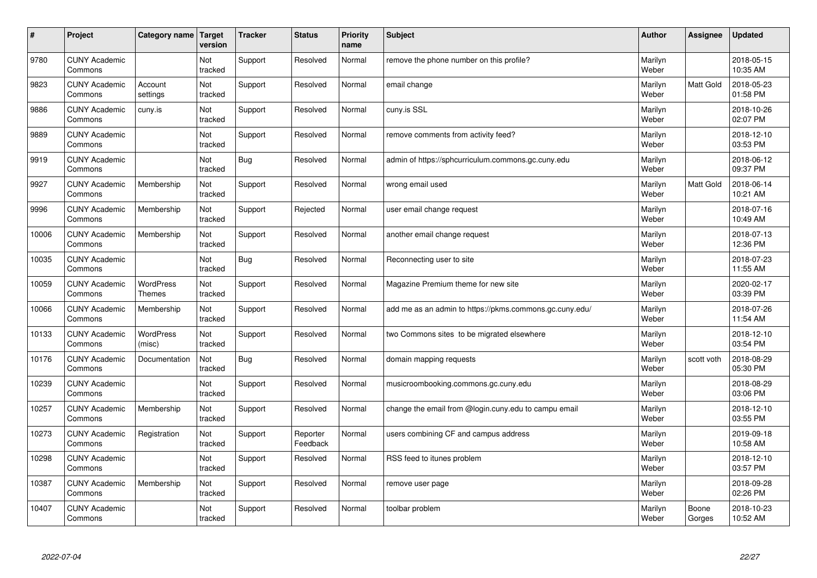| $\sharp$ | Project                         | Category name              | Target<br>version | <b>Tracker</b> | <b>Status</b>        | <b>Priority</b><br>name | <b>Subject</b>                                          | <b>Author</b>    | Assignee         | <b>Updated</b>         |
|----------|---------------------------------|----------------------------|-------------------|----------------|----------------------|-------------------------|---------------------------------------------------------|------------------|------------------|------------------------|
| 9780     | <b>CUNY Academic</b><br>Commons |                            | Not<br>tracked    | Support        | Resolved             | Normal                  | remove the phone number on this profile?                | Marilyn<br>Weber |                  | 2018-05-15<br>10:35 AM |
| 9823     | <b>CUNY Academic</b><br>Commons | Account<br>settings        | Not<br>tracked    | Support        | Resolved             | Normal                  | email change                                            | Marilyn<br>Weber | <b>Matt Gold</b> | 2018-05-23<br>01:58 PM |
| 9886     | <b>CUNY Academic</b><br>Commons | cuny.is                    | Not<br>tracked    | Support        | Resolved             | Normal                  | cuny.is SSL                                             | Marilyn<br>Weber |                  | 2018-10-26<br>02:07 PM |
| 9889     | <b>CUNY Academic</b><br>Commons |                            | Not<br>tracked    | Support        | Resolved             | Normal                  | remove comments from activity feed?                     | Marilyn<br>Weber |                  | 2018-12-10<br>03:53 PM |
| 9919     | <b>CUNY Academic</b><br>Commons |                            | Not<br>tracked    | Bug            | Resolved             | Normal                  | admin of https://sphcurriculum.commons.gc.cuny.edu      | Marilyn<br>Weber |                  | 2018-06-12<br>09:37 PM |
| 9927     | <b>CUNY Academic</b><br>Commons | Membership                 | Not<br>tracked    | Support        | Resolved             | Normal                  | wrong email used                                        | Marilyn<br>Weber | <b>Matt Gold</b> | 2018-06-14<br>10:21 AM |
| 9996     | <b>CUNY Academic</b><br>Commons | Membership                 | Not<br>tracked    | Support        | Rejected             | Normal                  | user email change request                               | Marilyn<br>Weber |                  | 2018-07-16<br>10:49 AM |
| 10006    | <b>CUNY Academic</b><br>Commons | Membership                 | Not<br>tracked    | Support        | Resolved             | Normal                  | another email change request                            | Marilyn<br>Weber |                  | 2018-07-13<br>12:36 PM |
| 10035    | <b>CUNY Academic</b><br>Commons |                            | Not<br>tracked    | Bug            | Resolved             | Normal                  | Reconnecting user to site                               | Marilyn<br>Weber |                  | 2018-07-23<br>11:55 AM |
| 10059    | <b>CUNY Academic</b><br>Commons | WordPress<br><b>Themes</b> | Not<br>tracked    | Support        | Resolved             | Normal                  | Magazine Premium theme for new site                     | Marilyn<br>Weber |                  | 2020-02-17<br>03:39 PM |
| 10066    | <b>CUNY Academic</b><br>Commons | Membership                 | Not<br>tracked    | Support        | Resolved             | Normal                  | add me as an admin to https://pkms.commons.gc.cuny.edu/ | Marilyn<br>Weber |                  | 2018-07-26<br>11:54 AM |
| 10133    | <b>CUNY Academic</b><br>Commons | <b>WordPress</b><br>(misc) | Not<br>tracked    | Support        | Resolved             | Normal                  | two Commons sites to be migrated elsewhere              | Marilyn<br>Weber |                  | 2018-12-10<br>03:54 PM |
| 10176    | <b>CUNY Academic</b><br>Commons | Documentation              | Not<br>tracked    | Bug            | Resolved             | Normal                  | domain mapping requests                                 | Marilyn<br>Weber | scott voth       | 2018-08-29<br>05:30 PM |
| 10239    | <b>CUNY Academic</b><br>Commons |                            | Not<br>tracked    | Support        | Resolved             | Normal                  | musicroombooking.commons.gc.cuny.edu                    | Marilyn<br>Weber |                  | 2018-08-29<br>03:06 PM |
| 10257    | <b>CUNY Academic</b><br>Commons | Membership                 | Not<br>tracked    | Support        | Resolved             | Normal                  | change the email from @login.cuny.edu to campu email    | Marilyn<br>Weber |                  | 2018-12-10<br>03:55 PM |
| 10273    | <b>CUNY Academic</b><br>Commons | Registration               | Not<br>tracked    | Support        | Reporter<br>Feedback | Normal                  | users combining CF and campus address                   | Marilyn<br>Weber |                  | 2019-09-18<br>10:58 AM |
| 10298    | <b>CUNY Academic</b><br>Commons |                            | Not<br>tracked    | Support        | Resolved             | Normal                  | RSS feed to itunes problem                              | Marilyn<br>Weber |                  | 2018-12-10<br>03:57 PM |
| 10387    | <b>CUNY Academic</b><br>Commons | Membership                 | Not<br>tracked    | Support        | Resolved             | Normal                  | remove user page                                        | Marilyn<br>Weber |                  | 2018-09-28<br>02:26 PM |
| 10407    | <b>CUNY Academic</b><br>Commons |                            | Not<br>tracked    | Support        | Resolved             | Normal                  | toolbar problem                                         | Marilyn<br>Weber | Boone<br>Gorges  | 2018-10-23<br>10:52 AM |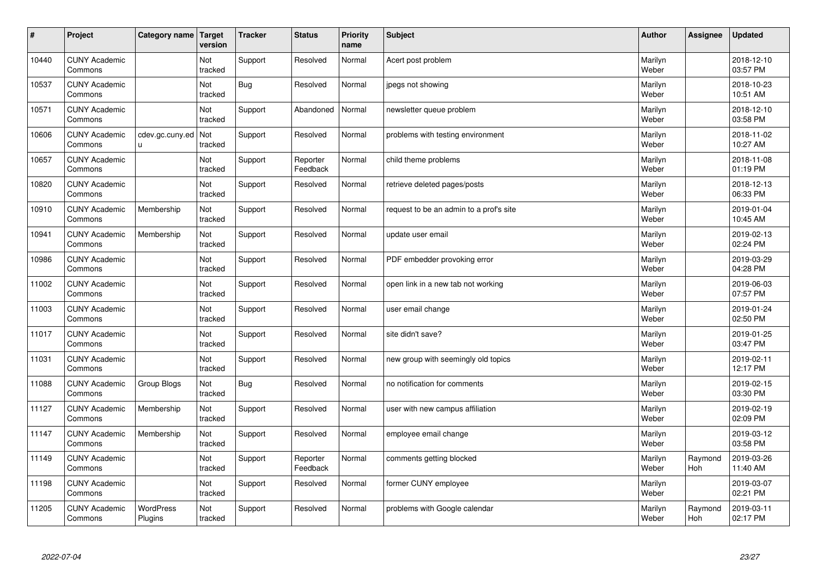| $\pmb{\#}$ | Project                         | <b>Category name</b>        | Target<br>version | <b>Tracker</b> | <b>Status</b>        | <b>Priority</b><br>name | <b>Subject</b>                          | <b>Author</b>    | Assignee       | <b>Updated</b>         |
|------------|---------------------------------|-----------------------------|-------------------|----------------|----------------------|-------------------------|-----------------------------------------|------------------|----------------|------------------------|
| 10440      | <b>CUNY Academic</b><br>Commons |                             | Not<br>tracked    | Support        | Resolved             | Normal                  | Acert post problem                      | Marilyn<br>Weber |                | 2018-12-10<br>03:57 PM |
| 10537      | <b>CUNY Academic</b><br>Commons |                             | Not<br>tracked    | <b>Bug</b>     | Resolved             | Normal                  | jpegs not showing                       | Marilyn<br>Weber |                | 2018-10-23<br>10:51 AM |
| 10571      | <b>CUNY Academic</b><br>Commons |                             | Not<br>tracked    | Support        | Abandoned            | Normal                  | newsletter queue problem                | Marilyn<br>Weber |                | 2018-12-10<br>03:58 PM |
| 10606      | <b>CUNY Academic</b><br>Commons | cdev.gc.cuny.ed<br>u.       | Not<br>tracked    | Support        | Resolved             | Normal                  | problems with testing environment       | Marilyn<br>Weber |                | 2018-11-02<br>10:27 AM |
| 10657      | <b>CUNY Academic</b><br>Commons |                             | Not<br>tracked    | Support        | Reporter<br>Feedback | Normal                  | child theme problems                    | Marilyn<br>Weber |                | 2018-11-08<br>01:19 PM |
| 10820      | <b>CUNY Academic</b><br>Commons |                             | Not<br>tracked    | Support        | Resolved             | Normal                  | retrieve deleted pages/posts            | Marilyn<br>Weber |                | 2018-12-13<br>06:33 PM |
| 10910      | <b>CUNY Academic</b><br>Commons | Membership                  | Not<br>tracked    | Support        | Resolved             | Normal                  | request to be an admin to a prof's site | Marilyn<br>Weber |                | 2019-01-04<br>10:45 AM |
| 10941      | <b>CUNY Academic</b><br>Commons | Membership                  | Not<br>tracked    | Support        | Resolved             | Normal                  | update user email                       | Marilyn<br>Weber |                | 2019-02-13<br>02:24 PM |
| 10986      | <b>CUNY Academic</b><br>Commons |                             | Not<br>tracked    | Support        | Resolved             | Normal                  | PDF embedder provoking error            | Marilyn<br>Weber |                | 2019-03-29<br>04:28 PM |
| 11002      | <b>CUNY Academic</b><br>Commons |                             | Not<br>tracked    | Support        | Resolved             | Normal                  | open link in a new tab not working      | Marilyn<br>Weber |                | 2019-06-03<br>07:57 PM |
| 11003      | <b>CUNY Academic</b><br>Commons |                             | Not<br>tracked    | Support        | Resolved             | Normal                  | user email change                       | Marilyn<br>Weber |                | 2019-01-24<br>02:50 PM |
| 11017      | <b>CUNY Academic</b><br>Commons |                             | Not<br>tracked    | Support        | Resolved             | Normal                  | site didn't save?                       | Marilyn<br>Weber |                | 2019-01-25<br>03:47 PM |
| 11031      | <b>CUNY Academic</b><br>Commons |                             | Not<br>tracked    | Support        | Resolved             | Normal                  | new group with seemingly old topics     | Marilyn<br>Weber |                | 2019-02-11<br>12:17 PM |
| 11088      | <b>CUNY Academic</b><br>Commons | Group Blogs                 | Not<br>tracked    | <b>Bug</b>     | Resolved             | Normal                  | no notification for comments            | Marilyn<br>Weber |                | 2019-02-15<br>03:30 PM |
| 11127      | <b>CUNY Academic</b><br>Commons | Membership                  | Not<br>tracked    | Support        | Resolved             | Normal                  | user with new campus affiliation        | Marilyn<br>Weber |                | 2019-02-19<br>02:09 PM |
| 11147      | <b>CUNY Academic</b><br>Commons | Membership                  | Not<br>tracked    | Support        | Resolved             | Normal                  | employee email change                   | Marilyn<br>Weber |                | 2019-03-12<br>03:58 PM |
| 11149      | <b>CUNY Academic</b><br>Commons |                             | Not<br>tracked    | Support        | Reporter<br>Feedback | Normal                  | comments getting blocked                | Marilyn<br>Weber | Raymond<br>Hoh | 2019-03-26<br>11:40 AM |
| 11198      | <b>CUNY Academic</b><br>Commons |                             | Not<br>tracked    | Support        | Resolved             | Normal                  | former CUNY employee                    | Marilyn<br>Weber |                | 2019-03-07<br>02:21 PM |
| 11205      | <b>CUNY Academic</b><br>Commons | <b>WordPress</b><br>Plugins | Not<br>tracked    | Support        | Resolved             | Normal                  | problems with Google calendar           | Marilyn<br>Weber | Raymond<br>Hoh | 2019-03-11<br>02:17 PM |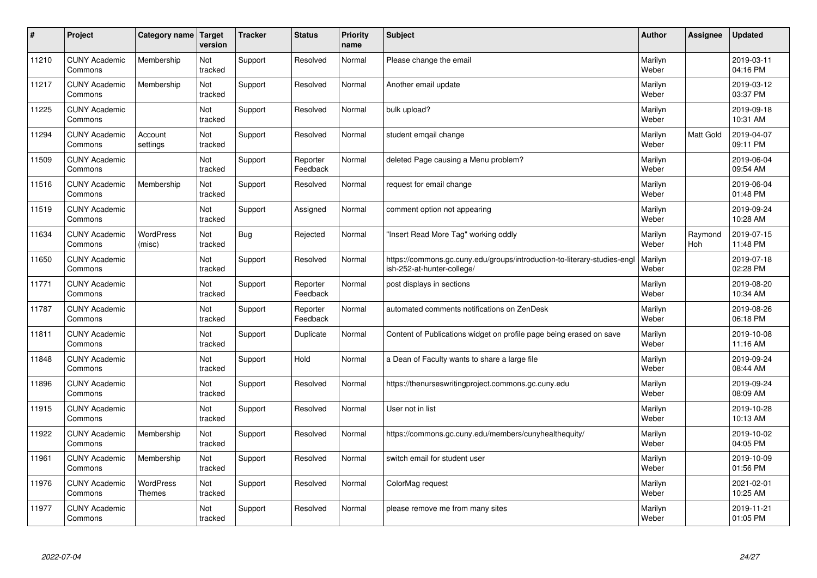| $\sharp$ | Project                         | Category name   Target            | version        | <b>Tracker</b> | <b>Status</b>        | <b>Priority</b><br>name | <b>Subject</b>                                                                                        | <b>Author</b>    | Assignee              | Updated                |
|----------|---------------------------------|-----------------------------------|----------------|----------------|----------------------|-------------------------|-------------------------------------------------------------------------------------------------------|------------------|-----------------------|------------------------|
| 11210    | <b>CUNY Academic</b><br>Commons | Membership                        | Not<br>tracked | Support        | Resolved             | Normal                  | Please change the email                                                                               | Marilyn<br>Weber |                       | 2019-03-11<br>04:16 PM |
| 11217    | <b>CUNY Academic</b><br>Commons | Membership                        | Not<br>tracked | Support        | Resolved             | Normal                  | Another email update                                                                                  | Marilyn<br>Weber |                       | 2019-03-12<br>03:37 PM |
| 11225    | <b>CUNY Academic</b><br>Commons |                                   | Not<br>tracked | Support        | Resolved             | Normal                  | bulk upload?                                                                                          | Marilyn<br>Weber |                       | 2019-09-18<br>10:31 AM |
| 11294    | <b>CUNY Academic</b><br>Commons | Account<br>settings               | Not<br>tracked | Support        | Resolved             | Normal                  | student emgail change                                                                                 | Marilyn<br>Weber | Matt Gold             | 2019-04-07<br>09:11 PM |
| 11509    | <b>CUNY Academic</b><br>Commons |                                   | Not<br>tracked | Support        | Reporter<br>Feedback | Normal                  | deleted Page causing a Menu problem?                                                                  | Marilyn<br>Weber |                       | 2019-06-04<br>09:54 AM |
| 11516    | <b>CUNY Academic</b><br>Commons | Membership                        | Not<br>tracked | Support        | Resolved             | Normal                  | request for email change                                                                              | Marilyn<br>Weber |                       | 2019-06-04<br>01:48 PM |
| 11519    | <b>CUNY Academic</b><br>Commons |                                   | Not<br>tracked | Support        | Assigned             | Normal                  | comment option not appearing                                                                          | Marilyn<br>Weber |                       | 2019-09-24<br>10:28 AM |
| 11634    | <b>CUNY Academic</b><br>Commons | <b>WordPress</b><br>(misc)        | Not<br>tracked | Bug            | Rejected             | Normal                  | "Insert Read More Tag" working oddly                                                                  | Marilyn<br>Weber | Raymond<br><b>Hoh</b> | 2019-07-15<br>11:48 PM |
| 11650    | <b>CUNY Academic</b><br>Commons |                                   | Not<br>tracked | Support        | Resolved             | Normal                  | https://commons.gc.cuny.edu/groups/introduction-to-literary-studies-eng<br>ish-252-at-hunter-college/ | Marilyn<br>Weber |                       | 2019-07-18<br>02:28 PM |
| 11771    | <b>CUNY Academic</b><br>Commons |                                   | Not<br>tracked | Support        | Reporter<br>Feedback | Normal                  | post displays in sections                                                                             | Marilyn<br>Weber |                       | 2019-08-20<br>10:34 AM |
| 11787    | <b>CUNY Academic</b><br>Commons |                                   | Not<br>tracked | Support        | Reporter<br>Feedback | Normal                  | automated comments notifications on ZenDesk                                                           | Marilyn<br>Weber |                       | 2019-08-26<br>06:18 PM |
| 11811    | <b>CUNY Academic</b><br>Commons |                                   | Not<br>tracked | Support        | Duplicate            | Normal                  | Content of Publications widget on profile page being erased on save                                   | Marilyn<br>Weber |                       | 2019-10-08<br>11:16 AM |
| 11848    | <b>CUNY Academic</b><br>Commons |                                   | Not<br>tracked | Support        | Hold                 | Normal                  | a Dean of Faculty wants to share a large file                                                         | Marilyn<br>Weber |                       | 2019-09-24<br>08:44 AM |
| 11896    | <b>CUNY Academic</b><br>Commons |                                   | Not<br>tracked | Support        | Resolved             | Normal                  | https://thenurseswritingproject.commons.gc.cuny.edu                                                   | Marilyn<br>Weber |                       | 2019-09-24<br>08:09 AM |
| 11915    | <b>CUNY Academic</b><br>Commons |                                   | Not<br>tracked | Support        | Resolved             | Normal                  | User not in list                                                                                      | Marilyn<br>Weber |                       | 2019-10-28<br>10:13 AM |
| 11922    | <b>CUNY Academic</b><br>Commons | Membership                        | Not<br>tracked | Support        | Resolved             | Normal                  | https://commons.gc.cuny.edu/members/cunyhealthequity/                                                 | Marilyn<br>Weber |                       | 2019-10-02<br>04:05 PM |
| 11961    | <b>CUNY Academic</b><br>Commons | Membership                        | Not<br>tracked | Support        | Resolved             | Normal                  | switch email for student user                                                                         | Marilyn<br>Weber |                       | 2019-10-09<br>01:56 PM |
| 11976    | <b>CUNY Academic</b><br>Commons | <b>WordPress</b><br><b>Themes</b> | Not<br>tracked | Support        | Resolved             | Normal                  | ColorMag request                                                                                      | Marilyn<br>Weber |                       | 2021-02-01<br>10:25 AM |
| 11977    | <b>CUNY Academic</b><br>Commons |                                   | Not<br>tracked | Support        | Resolved             | Normal                  | please remove me from many sites                                                                      | Marilyn<br>Weber |                       | 2019-11-21<br>01:05 PM |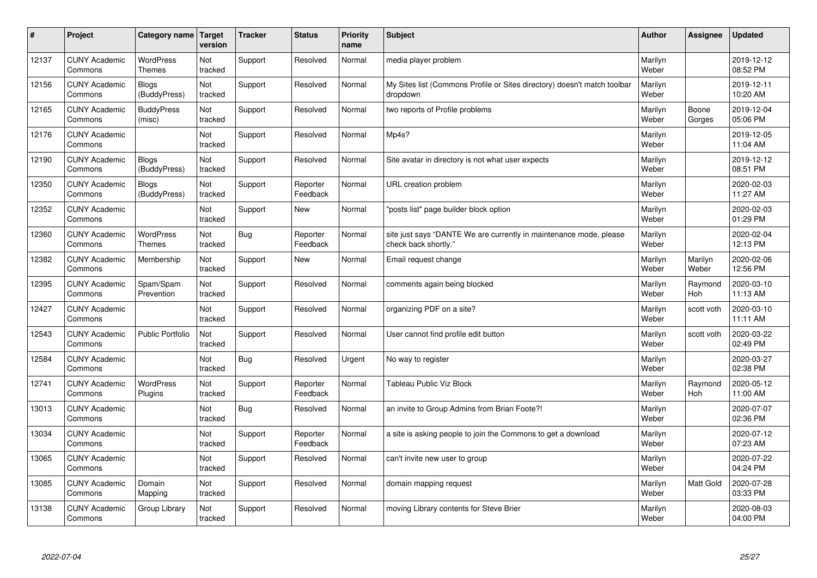| $\pmb{\#}$ | Project                         | Category name                     | Target<br>version | <b>Tracker</b> | <b>Status</b>        | <b>Priority</b><br>name | <b>Subject</b>                                                                             | <b>Author</b>    | Assignee         | <b>Updated</b>         |
|------------|---------------------------------|-----------------------------------|-------------------|----------------|----------------------|-------------------------|--------------------------------------------------------------------------------------------|------------------|------------------|------------------------|
| 12137      | <b>CUNY Academic</b><br>Commons | <b>WordPress</b><br>Themes        | Not<br>tracked    | Support        | Resolved             | Normal                  | media player problem                                                                       | Marilyn<br>Weber |                  | 2019-12-12<br>08:52 PM |
| 12156      | <b>CUNY Academic</b><br>Commons | <b>Blogs</b><br>(BuddyPress)      | Not<br>tracked    | Support        | Resolved             | Normal                  | My Sites list (Commons Profile or Sites directory) doesn't match toolbar<br>dropdown       | Marilyn<br>Weber |                  | 2019-12-11<br>10:20 AM |
| 12165      | <b>CUNY Academic</b><br>Commons | <b>BuddyPress</b><br>(misc)       | Not<br>tracked    | Support        | Resolved             | Normal                  | two reports of Profile problems                                                            | Marilyn<br>Weber | Boone<br>Gorges  | 2019-12-04<br>05:06 PM |
| 12176      | <b>CUNY Academic</b><br>Commons |                                   | Not<br>tracked    | Support        | Resolved             | Normal                  | Mp4s?                                                                                      | Marilyn<br>Weber |                  | 2019-12-05<br>11:04 AM |
| 12190      | <b>CUNY Academic</b><br>Commons | Blogs<br>(BuddyPress)             | Not<br>tracked    | Support        | Resolved             | Normal                  | Site avatar in directory is not what user expects                                          | Marilyn<br>Weber |                  | 2019-12-12<br>08:51 PM |
| 12350      | <b>CUNY Academic</b><br>Commons | <b>Blogs</b><br>(BuddyPress)      | Not<br>tracked    | Support        | Reporter<br>Feedback | Normal                  | URL creation problem                                                                       | Marilyn<br>Weber |                  | 2020-02-03<br>11:27 AM |
| 12352      | <b>CUNY Academic</b><br>Commons |                                   | Not<br>tracked    | Support        | New                  | Normal                  | posts list" page builder block option                                                      | Marilyn<br>Weber |                  | 2020-02-03<br>01:29 PM |
| 12360      | <b>CUNY Academic</b><br>Commons | <b>WordPress</b><br><b>Themes</b> | Not<br>tracked    | <b>Bug</b>     | Reporter<br>Feedback | Normal                  | site just says "DANTE We are currently in maintenance mode, please<br>check back shortly." | Marilyn<br>Weber |                  | 2020-02-04<br>12:13 PM |
| 12382      | <b>CUNY Academic</b><br>Commons | Membership                        | Not<br>tracked    | Support        | <b>New</b>           | Normal                  | Email request change                                                                       | Marilyn<br>Weber | Marilyn<br>Weber | 2020-02-06<br>12:56 PM |
| 12395      | <b>CUNY Academic</b><br>Commons | Spam/Spam<br>Prevention           | Not<br>tracked    | Support        | Resolved             | Normal                  | comments again being blocked                                                               | Marilyn<br>Weber | Raymond<br>Hoh   | 2020-03-10<br>11:13 AM |
| 12427      | <b>CUNY Academic</b><br>Commons |                                   | Not<br>tracked    | Support        | Resolved             | Normal                  | organizing PDF on a site?                                                                  | Marilyn<br>Weber | scott voth       | 2020-03-10<br>11:11 AM |
| 12543      | <b>CUNY Academic</b><br>Commons | Public Portfolio                  | Not<br>tracked    | Support        | Resolved             | Normal                  | User cannot find profile edit button                                                       | Marilyn<br>Weber | scott voth       | 2020-03-22<br>02:49 PM |
| 12584      | <b>CUNY Academic</b><br>Commons |                                   | Not<br>tracked    | <b>Bug</b>     | Resolved             | Urgent                  | No way to register                                                                         | Marilyn<br>Weber |                  | 2020-03-27<br>02:38 PM |
| 12741      | <b>CUNY Academic</b><br>Commons | <b>WordPress</b><br>Plugins       | Not<br>tracked    | Support        | Reporter<br>Feedback | Normal                  | Tableau Public Viz Block                                                                   | Marilyn<br>Weber | Raymond<br>Hoh   | 2020-05-12<br>11:00 AM |
| 13013      | <b>CUNY Academic</b><br>Commons |                                   | Not<br>tracked    | <b>Bug</b>     | Resolved             | Normal                  | an invite to Group Admins from Brian Foote?!                                               | Marilyn<br>Weber |                  | 2020-07-07<br>02:36 PM |
| 13034      | <b>CUNY Academic</b><br>Commons |                                   | Not<br>tracked    | Support        | Reporter<br>Feedback | Normal                  | a site is asking people to join the Commons to get a download                              | Marilyn<br>Weber |                  | 2020-07-12<br>07:23 AM |
| 13065      | <b>CUNY Academic</b><br>Commons |                                   | Not<br>tracked    | Support        | Resolved             | Normal                  | can't invite new user to group                                                             | Marilyn<br>Weber |                  | 2020-07-22<br>04:24 PM |
| 13085      | <b>CUNY Academic</b><br>Commons | Domain<br>Mapping                 | Not<br>tracked    | Support        | Resolved             | Normal                  | domain mapping request                                                                     | Marilyn<br>Weber | Matt Gold        | 2020-07-28<br>03:33 PM |
| 13138      | <b>CUNY Academic</b><br>Commons | Group Library                     | Not<br>tracked    | Support        | Resolved             | Normal                  | moving Library contents for Steve Brier                                                    | Marilyn<br>Weber |                  | 2020-08-03<br>04:00 PM |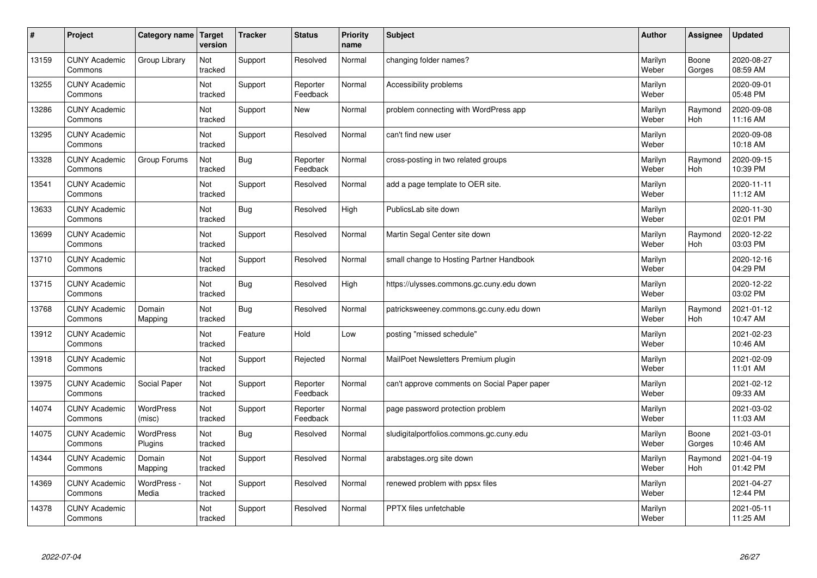| #     | Project                         | Category name              | Target<br>version | <b>Tracker</b> | <b>Status</b>        | <b>Priority</b><br>name | <b>Subject</b>                               | <b>Author</b>    | Assignee              | Updated                |
|-------|---------------------------------|----------------------------|-------------------|----------------|----------------------|-------------------------|----------------------------------------------|------------------|-----------------------|------------------------|
| 13159 | <b>CUNY Academic</b><br>Commons | Group Library              | Not<br>tracked    | Support        | Resolved             | Normal                  | changing folder names?                       | Marilyn<br>Weber | Boone<br>Gorges       | 2020-08-27<br>08:59 AM |
| 13255 | <b>CUNY Academic</b><br>Commons |                            | Not<br>tracked    | Support        | Reporter<br>Feedback | Normal                  | Accessibility problems                       | Marilyn<br>Weber |                       | 2020-09-01<br>05:48 PM |
| 13286 | <b>CUNY Academic</b><br>Commons |                            | Not<br>tracked    | Support        | <b>New</b>           | Normal                  | problem connecting with WordPress app        | Marilyn<br>Weber | Raymond<br><b>Hoh</b> | 2020-09-08<br>11:16 AM |
| 13295 | <b>CUNY Academic</b><br>Commons |                            | Not<br>tracked    | Support        | Resolved             | Normal                  | can't find new user                          | Marilyn<br>Weber |                       | 2020-09-08<br>10:18 AM |
| 13328 | <b>CUNY Academic</b><br>Commons | Group Forums               | Not<br>tracked    | Bug            | Reporter<br>Feedback | Normal                  | cross-posting in two related groups          | Marilyn<br>Weber | Raymond<br>Hoh        | 2020-09-15<br>10:39 PM |
| 13541 | <b>CUNY Academic</b><br>Commons |                            | Not<br>tracked    | Support        | Resolved             | Normal                  | add a page template to OER site.             | Marilyn<br>Weber |                       | 2020-11-11<br>11:12 AM |
| 13633 | <b>CUNY Academic</b><br>Commons |                            | Not<br>tracked    | Bug            | Resolved             | High                    | PublicsLab site down                         | Marilyn<br>Weber |                       | 2020-11-30<br>02:01 PM |
| 13699 | <b>CUNY Academic</b><br>Commons |                            | Not<br>tracked    | Support        | Resolved             | Normal                  | Martin Segal Center site down                | Marilyn<br>Weber | Raymond<br>Hoh        | 2020-12-22<br>03:03 PM |
| 13710 | <b>CUNY Academic</b><br>Commons |                            | Not<br>tracked    | Support        | Resolved             | Normal                  | small change to Hosting Partner Handbook     | Marilyn<br>Weber |                       | 2020-12-16<br>04:29 PM |
| 13715 | <b>CUNY Academic</b><br>Commons |                            | Not<br>tracked    | Bug            | Resolved             | High                    | https://ulysses.commons.gc.cuny.edu down     | Marilyn<br>Weber |                       | 2020-12-22<br>03:02 PM |
| 13768 | <b>CUNY Academic</b><br>Commons | Domain<br>Mapping          | Not<br>tracked    | Bug            | Resolved             | Normal                  | patricksweeney.commons.gc.cuny.edu down      | Marilyn<br>Weber | Raymond<br><b>Hoh</b> | 2021-01-12<br>10:47 AM |
| 13912 | <b>CUNY Academic</b><br>Commons |                            | Not<br>tracked    | Feature        | Hold                 | Low                     | posting "missed schedule"                    | Marilyn<br>Weber |                       | 2021-02-23<br>10:46 AM |
| 13918 | <b>CUNY Academic</b><br>Commons |                            | Not<br>tracked    | Support        | Rejected             | Normal                  | MailPoet Newsletters Premium plugin          | Marilyn<br>Weber |                       | 2021-02-09<br>11:01 AM |
| 13975 | <b>CUNY Academic</b><br>Commons | Social Paper               | Not<br>tracked    | Support        | Reporter<br>Feedback | Normal                  | can't approve comments on Social Paper paper | Marilyn<br>Weber |                       | 2021-02-12<br>09:33 AM |
| 14074 | <b>CUNY Academic</b><br>Commons | <b>WordPress</b><br>(misc) | Not<br>tracked    | Support        | Reporter<br>Feedback | Normal                  | page password protection problem             | Marilyn<br>Weber |                       | 2021-03-02<br>11:03 AM |
| 14075 | <b>CUNY Academic</b><br>Commons | WordPress<br>Plugins       | Not<br>tracked    | Bug            | Resolved             | Normal                  | sludigitalportfolios.commons.gc.cuny.edu     | Marilyn<br>Weber | Boone<br>Gorges       | 2021-03-01<br>10:46 AM |
| 14344 | <b>CUNY Academic</b><br>Commons | Domain<br>Mapping          | Not<br>tracked    | Support        | Resolved             | Normal                  | arabstages.org site down                     | Marilyn<br>Weber | Raymond<br>Hoh        | 2021-04-19<br>01:42 PM |
| 14369 | <b>CUNY Academic</b><br>Commons | WordPress -<br>Media       | Not<br>tracked    | Support        | Resolved             | Normal                  | renewed problem with ppsx files              | Marilyn<br>Weber |                       | 2021-04-27<br>12:44 PM |
| 14378 | <b>CUNY Academic</b><br>Commons |                            | Not<br>tracked    | Support        | Resolved             | Normal                  | <b>PPTX</b> files unfetchable                | Marilyn<br>Weber |                       | 2021-05-11<br>11:25 AM |